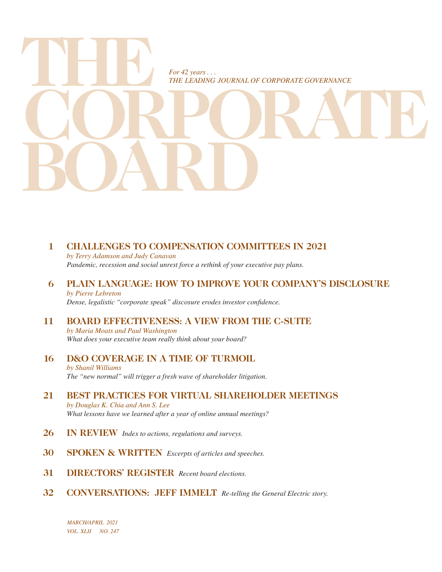

## **1 CHALLENGES TO COMPENSATION COMMITTEES IN 2021**

*by Terry Adamson and Judy Canavan Pandemic, recession and social unrest force a rethink of your executive pay plans.*

- **6 PLAIN LANGUAGE: HOW TO IMPROVE YOUR COMPANY'S DISCLOSURE** *by Pierre Lebreton Dense, legalistic "corporate speak" discosure erodes investor confidence.*
- **11 BOARD EFFECTIVENESS: A VIEW FROM THE C-SUITE** *by Maria Moats and Paul Washington*

 *What does your executive team really think about your board?*

- **16 D&O COVERAGE IN A TIME OF TURMOIL** *by Shanil Williams The "new normal" will trigger a fresh wave of shareholder litigation.*
- **21 BEST PRACTICES FOR VIRTUAL SHAREHOLDER MEETINGS** *by Douglas K. Chia and Ann S. Lee What lessons have we learned after a year of online annual meetings?*
- **26 IN REVIEW** *Index to actions, regulations and surveys.*
- **30 SPOKEN & WRITTEN** *Excerpts of articles and speeches.*
- **31 DIRECTORS' REGISTER** *Recent board elections.*
- **32 CONVERSATIONS: JEFF IMMELT** *Re-telling the General Electric story.*

*MARCH/APRIL 2021 VOL. XLII NO. 247*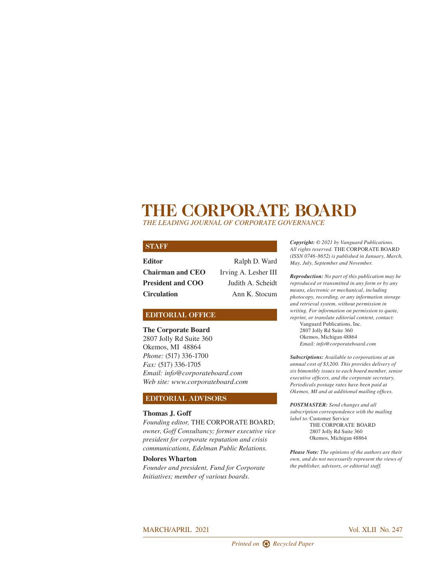## **THE CORPORATE BOARD**

*THE LEADING JOURNAL OF CORPORATE GOVERNANCE*

#### **STAFF**

| Editor                   | Ralph D. Ward        |
|--------------------------|----------------------|
| <b>Chairman and CEO</b>  | Irving A. Lesher III |
| <b>President and COO</b> | Judith A. Scheidt    |
| <b>Circulation</b>       | Ann K. Stocum        |

#### **EDITORIAL OFFICE**

**The Corporate Board** 2807 Jolly Rd Suite 360 Okemos, MI 48864 *Phone:* (517) 336-1700 *Fax:* (517) 336-1705 *Email: info@corporateboard.com Web site: www.corporateboard.com*

#### **EDITORIAL ADVISORS**

#### **Thomas J. Goff**

*Founding editor,* THE CORPORATE BOARD; *owner, Goff Consultancy; former executive vice president for corporate reputation and crisis communications, Edelman Public Relations.*

#### **Dolores Wharton**

*Founder and president, Fund for Corporate Initiatives; member of various boards.*

*Copyright: © 2021 by Vanguard Publications. All rights reserved.* THE CORPORATE BOARD *(ISSN 0746-8652) is published in January, March, May, July, September and November.*

*Reproduction: No part of this publication may be reproduced or transmitted in any form or by any means, electronic or mechanical, including photocopy, recording, or any information storage and retrieval system, without permission in writing. For information on permission to quote, reprint, or translate editorial content, contact:* Vanguard Publications, Inc. 2807 Jolly Rd Suite 360 Okemos, Michigan 48864

*Email: info@corporateboard.com*

*Subscriptions: Available to corporations at an annual cost of \$3,200. This provides delivery of six bimonthly issues to each board member, senior executive officers, and the corporate secretary. Periodicals postage rates have been paid at Okemos, MI and at additional mailing offices.*

*POSTMASTER: Send changes and all subscription correspondence with the mailing label to:* Customer Service THE CORPORATE BOARD 2807 Jolly Rd Suite 360

Okemos, Michigan 48864

*Please Note: The opinions of the authors are their own, and do not necessarily represent the views of the publisher, advisors, or editorial staff.* 

#### MARCH/APRIL 2021 Vol. XLII No. 247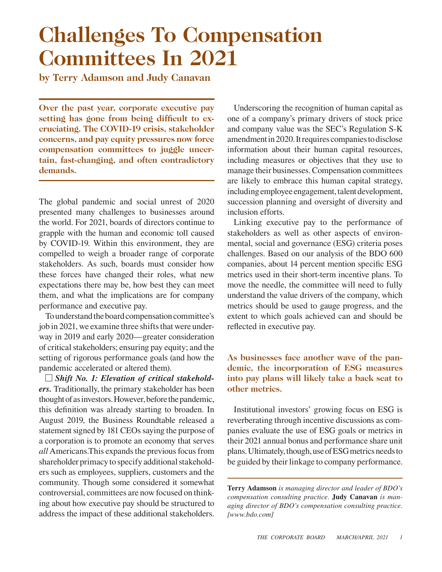## **Challenges To Compensation Committees In 2021**

**by Terry Adamson and Judy Canavan**

**Over the past year, corporate executive pay setting has gone from being difficult to excruciating. The COVID-19 crisis, stakeholder concerns, and pay equity pressures now force compensation committees to juggle uncertain, fast-changing, and often contradictory demands.**

The global pandemic and social unrest of 2020 presented many challenges to businesses around the world. For 2021, boards of directors continue to grapple with the human and economic toll caused by COVID-19. Within this environment, they are compelled to weigh a broader range of corporate stakeholders. As such, boards must consider how these forces have changed their roles, what new expectations there may be, how best they can meet them, and what the implications are for company performance and executive pay.

To understand the board compensation committee's job in 2021, we examine three shifts that were underway in 2019 and early 2020—greater consideration of critical stakeholders; ensuring pay equity; and the setting of rigorous performance goals (and how the pandemic accelerated or altered them).

*Shift No. 1: Elevation of critical stakeholders.* Traditionally, the primary stakeholder has been thought of as investors. However, before the pandemic, this definition was already starting to broaden. In August 2019, the Business Roundtable released a statement signed by 181 CEOs saying the purpose of a corporation is to promote an economy that serves *all* Americans.This expands the previous focus from shareholder primacy to specify additional stakeholders such as employees, suppliers, customers and the community. Though some considered it somewhat controversial, committees are now focused on thinking about how executive pay should be structured to address the impact of these additional stakeholders.

Underscoring the recognition of human capital as one of a company's primary drivers of stock price and company value was the SEC's Regulation S-K amendment in 2020. It requires companies to disclose information about their human capital resources, including measures or objectives that they use to manage their businesses. Compensation committees are likely to embrace this human capital strategy, including employee engagement, talent development, succession planning and oversight of diversity and inclusion efforts.

Linking executive pay to the performance of stakeholders as well as other aspects of environmental, social and governance (ESG) criteria poses challenges. Based on our analysis of the BDO 600 companies, about 14 percent mention specific ESG metrics used in their short-term incentive plans. To move the needle, the committee will need to fully understand the value drivers of the company, which metrics should be used to gauge progress, and the extent to which goals achieved can and should be reflected in executive pay.

## **As businesses face another wave of the pandemic, the incorporation of ESG measures into pay plans will likely take a back seat to other metrics.**

Institutional investors' growing focus on ESG is reverberating through incentive discussions as companies evaluate the use of ESG goals or metrics in their 2021 annual bonus and performance share unit plans. Ultimately, though, use of ESG metrics needs to be guided by their linkage to company performance.

**Terry Adamson** *is managing director and leader of BDO's compensation consulting practice.* **Judy Canavan** *is managing director of BDO's compensation consulting practice. [www.bdo.com]*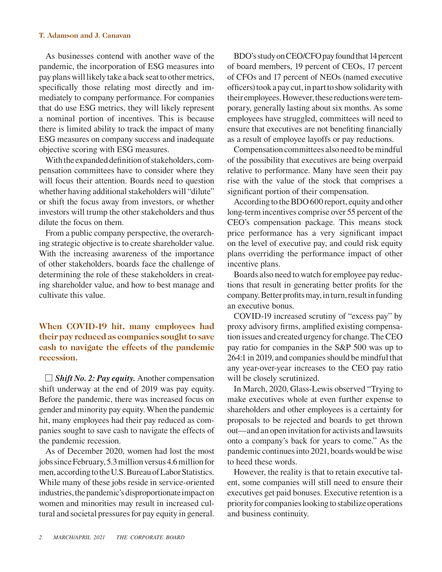#### **T. Adamson and J. Canavan**

As businesses contend with another wave of the pandemic, the incorporation of ESG measures into pay plans will likely take a back seat to other metrics, specifically those relating most directly and immediately to company performance. For companies that do use ESG metrics, they will likely represent a nominal portion of incentives. This is because there is limited ability to track the impact of many ESG measures on company success and inadequate objective scoring with ESG measures.

With the expanded definition of stakeholders, compensation committees have to consider where they will focus their attention. Boards need to question whether having additional stakeholders will "dilute" or shift the focus away from investors, or whether investors will trump the other stakeholders and thus dilute the focus on them.

From a public company perspective, the overarching strategic objective is to create shareholder value. With the increasing awareness of the importance of other stakeholders, boards face the challenge of determining the role of these stakeholders in creating shareholder value, and how to best manage and cultivate this value.

**When COVID-19 hit, many employees had their pay reduced as companies sought to save cash to navigate the effects of the pandemic recession.**

*Shift No. 2: Pay equity.* Another compensation shift underway at the end of 2019 was pay equity. Before the pandemic, there was increased focus on gender and minority pay equity. When the pandemic hit, many employees had their pay reduced as companies sought to save cash to navigate the effects of the pandemic recession.

As of December 2020, women had lost the most jobs since February, 5.3 million versus 4.6 million for men, according to the U.S. Bureau of Labor Statistics. While many of these jobs reside in service-oriented industries, the pandemic's disproportionate impact on women and minorities may result in increased cultural and societal pressures for pay equity in general.

BDO's study on CEO/CFO pay found that 14 percent of board members, 19 percent of CEOs, 17 percent of CFOs and 17 percent of NEOs (named executive officers) took a pay cut, in part to show solidarity with their employees. However, these reductions were temporary, generally lasting about six months. As some employees have struggled, committees will need to ensure that executives are not benefiting financially as a result of employee layoffs or pay reductions.

Compensation committees also need to be mindful of the possibility that executives are being overpaid relative to performance. Many have seen their pay rise with the value of the stock that comprises a significant portion of their compensation.

According to the BDO 600 report, equity and other long-term incentives comprise over 55 percent of the CEO's compensation package. This means stock price performance has a very significant impact on the level of executive pay, and could risk equity plans overriding the performance impact of other incentive plans.

Boards also need to watch for employee pay reductions that result in generating better profits for the company. Better profits may, in turn, result in funding an executive bonus.

COVID-19 increased scrutiny of "excess pay" by proxy advisory firms, amplified existing compensation issues and created urgency for change. The CEO pay ratio for companies in the S&P 500 was up to 264:1 in 2019, and companies should be mindful that any year-over-year increases to the CEO pay ratio will be closely scrutinized.

In March, 2020, Glass-Lewis observed "Trying to make executives whole at even further expense to shareholders and other employees is a certainty for proposals to be rejected and boards to get thrown out—and an open invitation for activists and lawsuits onto a company's back for years to come." As the pandemic continues into 2021, boards would be wise to heed these words.

However, the reality is that to retain executive talent, some companies will still need to ensure their executives get paid bonuses. Executive retention is a priority for companies looking to stabilize operations and business continuity.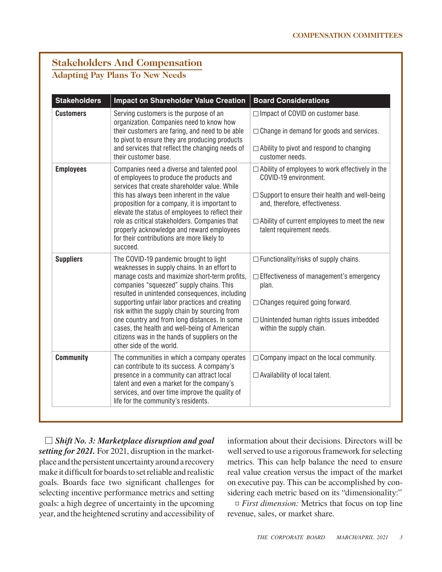## **Stakeholders And Compensation**

## **Adapting Pay Plans To New Needs**

| <b>Stakeholders</b> | <b>Impact on Shareholder Value Creation</b>                                                                                                                                                                                                                                                                                                                                                                                                                                                                           | <b>Board Considerations</b>                                                                                                                                                                                                                              |
|---------------------|-----------------------------------------------------------------------------------------------------------------------------------------------------------------------------------------------------------------------------------------------------------------------------------------------------------------------------------------------------------------------------------------------------------------------------------------------------------------------------------------------------------------------|----------------------------------------------------------------------------------------------------------------------------------------------------------------------------------------------------------------------------------------------------------|
| <b>Customers</b>    | Serving customers is the purpose of an<br>organization. Companies need to know how<br>their customers are faring, and need to be able<br>to pivot to ensure they are producing products<br>and services that reflect the changing needs of<br>their customer base.                                                                                                                                                                                                                                                    | $\Box$ Impact of COVID on customer base.<br>$\Box$ Change in demand for goods and services.<br>$\Box$ Ability to pivot and respond to changing<br>customer needs.                                                                                        |
| <b>Employees</b>    | Companies need a diverse and talented pool<br>of employees to produce the products and<br>services that create shareholder value. While<br>this has always been inherent in the value<br>proposition for a company, it is important to<br>elevate the status of employees to reflect their<br>role as critical stakeholders. Companies that<br>properly acknowledge and reward employees<br>for their contributions are more likely to<br>succeed.                                                                    | □ Ability of employees to work effectively in the<br>COVID-19 environment.<br>$\Box$ Support to ensure their health and well-being<br>and, therefore, effectiveness.<br>$\Box$ Ability of current employees to meet the new<br>talent requirement needs. |
| <b>Suppliers</b>    | The COVID-19 pandemic brought to light<br>weaknesses in supply chains. In an effort to<br>manage costs and maximize short-term profits,<br>companies "squeezed" supply chains. This<br>resulted in unintended consequences, including<br>supporting unfair labor practices and creating<br>risk within the supply chain by sourcing from<br>one country and from long distances. In some<br>cases, the health and well-being of American<br>citizens was in the hands of suppliers on the<br>other side of the world. | $\Box$ Functionality/risks of supply chains.<br>□ Effectiveness of management's emergency<br>plan.<br>$\Box$ Changes required going forward.<br>$\Box$ Unintended human rights issues imbedded<br>within the supply chain.                               |
| <b>Community</b>    | The communities in which a company operates<br>can contribute to its success. A company's<br>presence in a community can attract local<br>talent and even a market for the company's<br>services, and over time improve the quality of<br>life for the community's residents.                                                                                                                                                                                                                                         | $\Box$ Company impact on the local community.<br>$\Box$ Availability of local talent.                                                                                                                                                                    |

*Shift No. 3: Marketplace disruption and goal setting for 2021.* For 2021, disruption in the marketplace and the persistent uncertainty around a recovery make it difficult for boards to set reliable and realistic goals. Boards face two significant challenges for selecting incentive performance metrics and setting goals: a high degree of uncertainty in the upcoming year, and the heightened scrutiny and accessibility of

information about their decisions. Directors will be well served to use a rigorous framework for selecting metrics. This can help balance the need to ensure real value creation versus the impact of the market on executive pay. This can be accomplished by considering each metric based on its "dimensionality:"

*First dimension:* Metrics that focus on top line revenue, sales, or market share.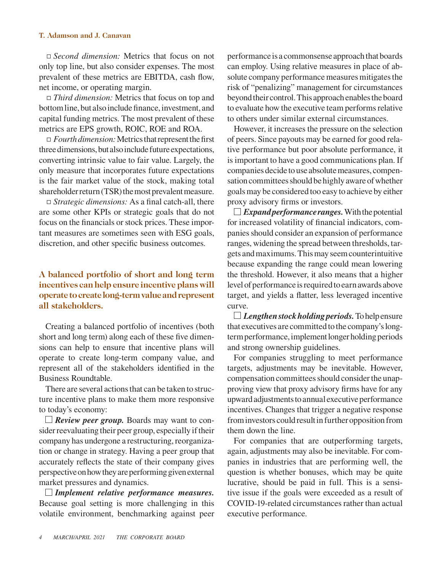#### **T. Adamson and J. Canavan**

*Second dimension:* Metrics that focus on not only top line, but also consider expenses. The most prevalent of these metrics are EBITDA, cash flow, net income, or operating margin.

*Third dimension:* Metrics that focus on top and bottom line, but also include finance, investment, and capital funding metrics. The most prevalent of these metrics are EPS growth, ROIC, ROE and ROA.

*Fourth dimension:* Metrics that represent the first three dimensions, but also include future expectations, converting intrinsic value to fair value. Largely, the only measure that incorporates future expectations is the fair market value of the stock, making total shareholder return (TSR) the most prevalent measure.

*Strategic dimensions:* As a final catch-all, there are some other KPIs or strategic goals that do not focus on the financials or stock prices. These important measures are sometimes seen with ESG goals, discretion, and other specific business outcomes.

### **A balanced portfolio of short and long term incentives can help ensure incentive plans will operate to create long-term value and represent all stakeholders.**

Creating a balanced portfolio of incentives (both short and long term) along each of these five dimensions can help to ensure that incentive plans will operate to create long-term company value, and represent all of the stakeholders identified in the Business Roundtable.

There are several actions that can be taken to structure incentive plans to make them more responsive to today's economy:

*Review peer group.* Boards may want to consider reevaluating their peer group, especially if their company has undergone a restructuring, reorganization or change in strategy. Having a peer group that accurately reflects the state of their company gives perspective on how they are performing given external market pressures and dynamics.

*Implement relative performance measures.*  Because goal setting is more challenging in this volatile environment, benchmarking against peer performance is a commonsense approach that boards can employ. Using relative measures in place of absolute company performance measures mitigates the risk of "penalizing" management for circumstances beyond their control. This approach enables the board to evaluate how the executive team performs relative to others under similar external circumstances.

However, it increases the pressure on the selection of peers. Since payouts may be earned for good relative performance but poor absolute performance, it is important to have a good communications plan. If companies decide to use absolute measures, compensation committees should be highly aware of whether goals may be considered too easy to achieve by either proxy advisory firms or investors.

 $\Box$  *Expand performance ranges.* With the potential for increased volatility of financial indicators, companies should consider an expansion of performance ranges, widening the spread between thresholds, targets and maximums. This may seem counterintuitive because expanding the range could mean lowering the threshold. However, it also means that a higher level of performance is required to earn awards above target, and yields a flatter, less leveraged incentive curve.

*Lengthen stock holding periods.* To help ensure that executives are committed to the company's longterm performance, implement longer holding periods and strong ownership guidelines.

For companies struggling to meet performance targets, adjustments may be inevitable. However, compensation committees should consider the unapproving view that proxy advisory firms have for any upward adjustments to annual executive performance incentives. Changes that trigger a negative response from investors could result in further opposition from them down the line.

For companies that are outperforming targets, again, adjustments may also be inevitable. For companies in industries that are performing well, the question is whether bonuses, which may be quite lucrative, should be paid in full. This is a sensitive issue if the goals were exceeded as a result of COVID-19-related circumstances rather than actual executive performance.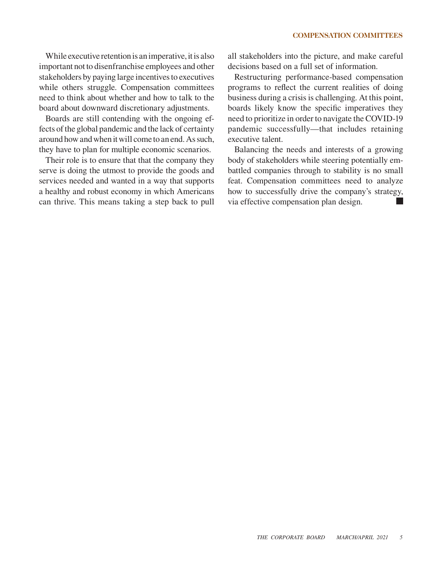While executive retention is an imperative, it is also important not to disenfranchise employees and other stakeholders by paying large incentives to executives while others struggle. Compensation committees need to think about whether and how to talk to the board about downward discretionary adjustments.

Boards are still contending with the ongoing effects of the global pandemic and the lack of certainty around how and when it will come to an end. As such, they have to plan for multiple economic scenarios.

Their role is to ensure that that the company they serve is doing the utmost to provide the goods and services needed and wanted in a way that supports a healthy and robust economy in which Americans can thrive. This means taking a step back to pull all stakeholders into the picture, and make careful decisions based on a full set of information.

Restructuring performance-based compensation programs to reflect the current realities of doing business during a crisis is challenging. At this point, boards likely know the specific imperatives they need to prioritize in order to navigate the COVID-19 pandemic successfully—that includes retaining executive talent.

Balancing the needs and interests of a growing body of stakeholders while steering potentially embattled companies through to stability is no small feat. Compensation committees need to analyze how to successfully drive the company's strategy, via effective compensation plan design.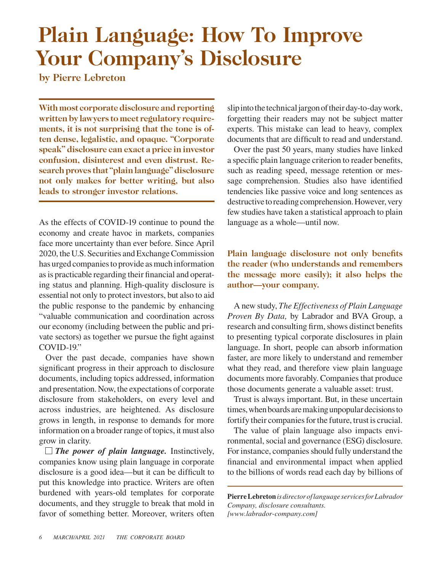## **Plain Language: How To Improve Your Company's Disclosure**

**by Pierre Lebreton**

**With most corporate disclosure and reporting written by lawyers to meet regulatory requirements, it is not surprising that the tone is often dense, legalistic, and opaque. "Corporate speak" disclosure can exact a price in investor confusion, disinterest and even distrust. Research proves that "plain language" disclosure not only makes for better writing, but also leads to stronger investor relations.**

As the effects of COVID-19 continue to pound the economy and create havoc in markets, companies face more uncertainty than ever before. Since April 2020, the U.S. Securities and Exchange Commission has urged companies to provide as much information as is practicable regarding their financial and operating status and planning. High-quality disclosure is essential not only to protect investors, but also to aid the public response to the pandemic by enhancing "valuable communication and coordination across our economy (including between the public and private sectors) as together we pursue the fight against COVID-19."

Over the past decade, companies have shown significant progress in their approach to disclosure documents, including topics addressed, information and presentation. Now, the expectations of corporate disclosure from stakeholders, on every level and across industries, are heightened. As disclosure grows in length, in response to demands for more information on a broader range of topics, it must also grow in clarity.

*The power of plain language.* Instinctively, companies know using plain language in corporate disclosure is a good idea—but it can be difficult to put this knowledge into practice. Writers are often burdened with years-old templates for corporate documents, and they struggle to break that mold in favor of something better. Moreover, writers often slip into the technical jargon of their day-to-day work, forgetting their readers may not be subject matter experts. This mistake can lead to heavy, complex documents that are difficult to read and understand.

Over the past 50 years, many studies have linked a specific plain language criterion to reader benefits, such as reading speed, message retention or message comprehension. Studies also have identified tendencies like passive voice and long sentences as destructive to reading comprehension. However, very few studies have taken a statistical approach to plain language as a whole—until now.

## **Plain language disclosure not only benefits the reader (who understands and remembers the message more easily); it also helps the author—your company.**

A new study, *The Effectiveness of Plain Language Proven By Data,* by Labrador and BVA Group, a research and consulting firm, shows distinct benefits to presenting typical corporate disclosures in plain language. In short, people can absorb information faster, are more likely to understand and remember what they read, and therefore view plain language documents more favorably. Companies that produce those documents generate a valuable asset: trust.

Trust is always important. But, in these uncertain times, when boards are making unpopular decisions to fortify their companies for the future, trust is crucial.

The value of plain language also impacts environmental, social and governance (ESG) disclosure. For instance, companies should fully understand the financial and environmental impact when applied to the billions of words read each day by billions of

**Pierre Lebreton** *is director of language services for Labrador Company, disclosure consultants. [www.labrador-company.com]*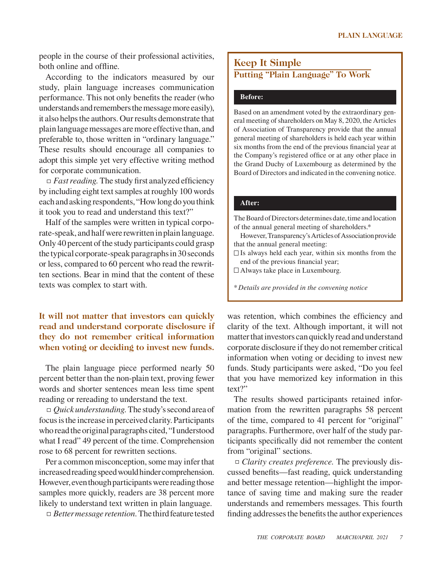people in the course of their professional activities, both online and offline.

According to the indicators measured by our study, plain language increases communication performance. This not only benefits the reader (who understands and remembers the message more easily), it also helps the authors. Our results demonstrate that plain language messages are more effective than, and preferable to, those written in "ordinary language." These results should encourage all companies to adopt this simple yet very effective writing method for corporate communication.

*Fast reading.* The study first analyzed efficiency by including eight text samples at roughly 100 words each and asking respondents, "How long do you think it took you to read and understand this text?"

Half of the samples were written in typical corporate-speak, and half were rewritten in plain language. Only 40 percent of the study participants could grasp the typical corporate-speak paragraphs in 30 seconds or less, compared to 60 percent who read the rewritten sections. Bear in mind that the content of these texts was complex to start with.

### **It will not matter that investors can quickly read and understand corporate disclosure if they do not remember critical information when voting or deciding to invest new funds.**

The plain language piece performed nearly 50 percent better than the non-plain text, proving fewer words and shorter sentences mean less time spent reading or rereading to understand the text.

*Quick understanding.* The study's second area of focus is the increase in perceived clarity. Participants who read the original paragraphs cited, "I understood what I read" 49 percent of the time. Comprehension rose to 68 percent for rewritten sections.

Per a common misconception, some may infer that increased reading speed would hinder comprehension. However, even though participants were reading those samples more quickly, readers are 38 percent more likely to understand text written in plain language.

*Better message retention.* The third feature tested

## **Keep It Simple Putting "Plain Language" To Work**

#### **Before:**

Based on an amendment voted by the extraordinary general meeting of shareholders on May 8, 2020, the Articles of Association of Transparency provide that the annual general meeting of shareholders is held each year within six months from the end of the previous financial year at the Company's registered office or at any other place in the Grand Duchy of Luxembourg as determined by the Board of Directors and indicated in the convening notice.

#### **After:**

The Board of Directors determines date, time and location of the annual general meeting of shareholders.\*

However, Transparency's Articles of Association provide that the annual general meeting:

 $\Box$  Is always held each year, within six months from the end of the previous financial year;

Always take place in Luxembourg.

\**Details are provided in the convening notice*

was retention, which combines the efficiency and clarity of the text. Although important, it will not matter that investors can quickly read and understand corporate disclosure if they do not remember critical information when voting or deciding to invest new funds. Study participants were asked, "Do you feel that you have memorized key information in this text?"

The results showed participants retained information from the rewritten paragraphs 58 percent of the time, compared to 41 percent for "original" paragraphs. Furthermore, over half of the study participants specifically did not remember the content from "original" sections.

*Clarity creates preference.* The previously discussed benefits—fast reading, quick understanding and better message retention—highlight the importance of saving time and making sure the reader understands and remembers messages. This fourth finding addresses the benefits the author experiences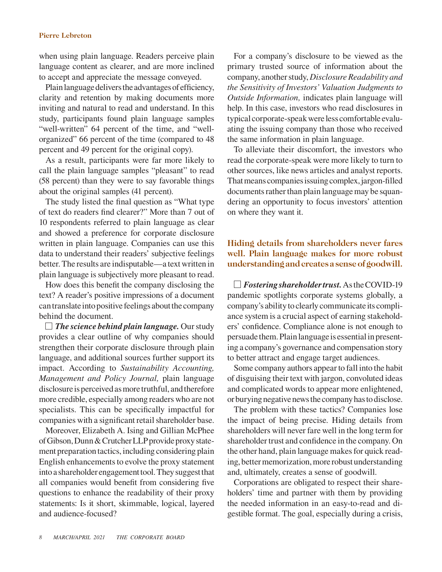#### **Pierre Lebreton**

when using plain language. Readers perceive plain language content as clearer, and are more inclined to accept and appreciate the message conveyed.

Plain language delivers the advantages of efficiency, clarity and retention by making documents more inviting and natural to read and understand. In this study, participants found plain language samples "well-written" 64 percent of the time, and "wellorganized" 66 percent of the time (compared to 48 percent and 49 percent for the original copy).

As a result, participants were far more likely to call the plain language samples "pleasant" to read (58 percent) than they were to say favorable things about the original samples (41 percent).

The study listed the final question as "What type of text do readers find clearer?" More than 7 out of 10 respondents referred to plain language as clear and showed a preference for corporate disclosure written in plain language. Companies can use this data to understand their readers' subjective feelings better. The results are indisputable—a text written in plain language is subjectively more pleasant to read.

How does this benefit the company disclosing the text? A reader's positive impressions of a document can translate into positive feelings about the company behind the document.

*The science behind plain language.* Our study provides a clear outline of why companies should strengthen their corporate disclosure through plain language, and additional sources further support its impact. According to *Sustainability Accounting, Management and Policy Journal,* plain language disclosure is perceived as more truthful, and therefore more credible, especially among readers who are not specialists. This can be specifically impactful for companies with a significant retail shareholder base.

Moreover, Elizabeth A. Ising and Gillian McPhee of Gibson, Dunn & Crutcher LLP provide proxy statement preparation tactics, including considering plain English enhancements to evolve the proxy statement into a shareholder engagement tool. They suggest that all companies would benefit from considering five questions to enhance the readability of their proxy statements: Is it short, skimmable, logical, layered and audience-focused?

For a company's disclosure to be viewed as the primary trusted source of information about the company, another study, *Disclosure Readability and the Sensitivity of Investors' Valuation Judgments to Outside Information,* indicates plain language will help. In this case, investors who read disclosures in typical corporate-speak were less comfortable evaluating the issuing company than those who received the same information in plain language.

To alleviate their discomfort, the investors who read the corporate-speak were more likely to turn to other sources, like news articles and analyst reports. That means companies issuing complex, jargon-filled documents rather than plain language may be squandering an opportunity to focus investors' attention on where they want it.

**Hiding details from shareholders never fares well. Plain language makes for more robust understanding and creates a sense of goodwill.**

*Fostering shareholder trust.* As the COVID-19 pandemic spotlights corporate systems globally, a company's ability to clearly communicate its compliance system is a crucial aspect of earning stakeholders' confidence. Compliance alone is not enough to persuade them. Plain language is essential in presenting a company's governance and compensation story to better attract and engage target audiences.

Some company authors appear to fall into the habit of disguising their text with jargon, convoluted ideas and complicated words to appear more enlightened, or burying negative news the company has to disclose.

The problem with these tactics? Companies lose the impact of being precise. Hiding details from shareholders will never fare well in the long term for shareholder trust and confidence in the company. On the other hand, plain language makes for quick reading, better memorization, more robust understanding and, ultimately, creates a sense of goodwill.

Corporations are obligated to respect their shareholders' time and partner with them by providing the needed information in an easy-to-read and digestible format. The goal, especially during a crisis,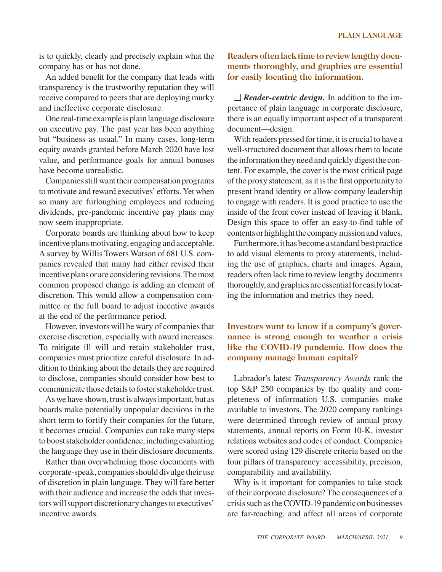is to quickly, clearly and precisely explain what the company has or has not done.

An added benefit for the company that leads with transparency is the trustworthy reputation they will receive compared to peers that are deploying murky and ineffective corporate disclosure.

One real-time example is plain language disclosure on executive pay. The past year has been anything but "business as usual." In many cases, long-term equity awards granted before March 2020 have lost value, and performance goals for annual bonuses have become unrealistic.

Companies still want their compensation programs to motivate and reward executives' efforts. Yet when so many are furloughing employees and reducing dividends, pre-pandemic incentive pay plans may now seem inappropriate.

Corporate boards are thinking about how to keep incentive plans motivating, engaging and acceptable. A survey by Willis Towers Watson of 681 U.S. companies revealed that many had either revised their incentive plans or are considering revisions. The most common proposed change is adding an element of discretion. This would allow a compensation committee or the full board to adjust incentive awards at the end of the performance period.

However, investors will be wary of companies that exercise discretion, especially with award increases. To mitigate ill will and retain stakeholder trust, companies must prioritize careful disclosure. In addition to thinking about the details they are required to disclose, companies should consider how best to communicate those details to foster stakeholder trust.

As we have shown, trust is always important, but as boards make potentially unpopular decisions in the short term to fortify their companies for the future, it becomes crucial. Companies can take many steps to boost stakeholder confidence, including evaluating the language they use in their disclosure documents.

Rather than overwhelming those documents with corporate-speak, companies should divulge their use of discretion in plain language. They will fare better with their audience and increase the odds that investors will support discretionary changes to executives' incentive awards.

**Readers often lack time to review lengthy documents thoroughly, and graphics are essential for easily locating the information.**

*Reader-centric design.* In addition to the importance of plain language in corporate disclosure, there is an equally important aspect of a transparent document—design.

With readers pressed for time, it is crucial to have a well-structured document that allows them to locate the information they need and quickly digest the content. For example, the cover is the most critical page of the proxy statement, as it is the first opportunity to present brand identity or allow company leadership to engage with readers. It is good practice to use the inside of the front cover instead of leaving it blank. Design this space to offer an easy-to-find table of contents or highlight the company mission and values.

Furthermore, it has become a standard best practice to add visual elements to proxy statements, including the use of graphics, charts and images. Again, readers often lack time to review lengthy documents thoroughly, and graphics are essential for easily locating the information and metrics they need.

**Investors want to know if a company's governance is strong enough to weather a crisis like the COVID-19 pandemic. How does the company manage human capital?**

Labrador's latest *Transparency Awards* rank the top S&P 250 companies by the quality and completeness of information U.S. companies make available to investors. The 2020 company rankings were determined through review of annual proxy statements, annual reports on Form 10-K, investor relations websites and codes of conduct. Companies were scored using 129 discrete criteria based on the four pillars of transparency: accessibility, precision, comparability and availability.

Why is it important for companies to take stock of their corporate disclosure? The consequences of a crisis such as the COVID-19 pandemic on businesses are far-reaching, and affect all areas of corporate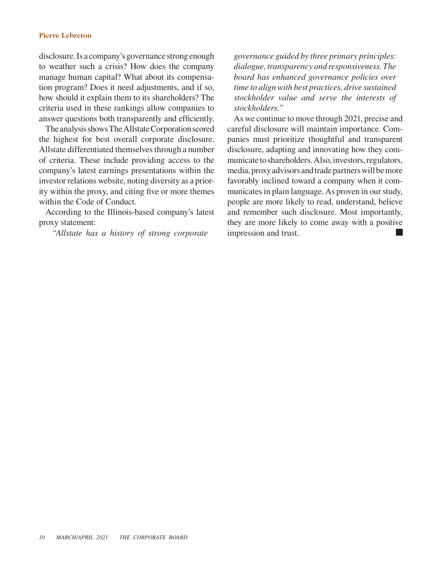#### **Pierre Lebreton**

disclosure. Is a company's governance strong enough to weather such a crisis? How does the company manage human capital? What about its compensation program? Does it need adjustments, and if so, how should it explain them to its shareholders? The criteria used in these rankings allow companies to answer questions both transparently and efficiently.

The analysis shows The Allstate Corporation scored the highest for best overall corporate disclosure. Allstate differentiated themselves through a number of criteria. These include providing access to the company's latest earnings presentations within the investor relations website, noting diversity as a priority within the proxy, and citing five or more themes within the Code of Conduct.

According to the Illinois-based company's latest proxy statement:

*"Allstate has a history of strong corporate* 

*governance guided by three primary principles: dialogue, transparency and responsiveness. The board has enhanced governance policies over time to align with best practices, drive sustained stockholder value and serve the interests of stockholders."*

As we continue to move through 2021, precise and careful disclosure will maintain importance. Companies must prioritize thoughtful and transparent disclosure, adapting and innovating how they communicate to shareholders. Also, investors, regulators, media, proxy advisors and trade partners will be more favorably inclined toward a company when it communicates in plain language. As proven in our study, people are more likely to read, understand, believe and remember such disclosure. Most importantly, they are more likely to come away with a positive impression and trust.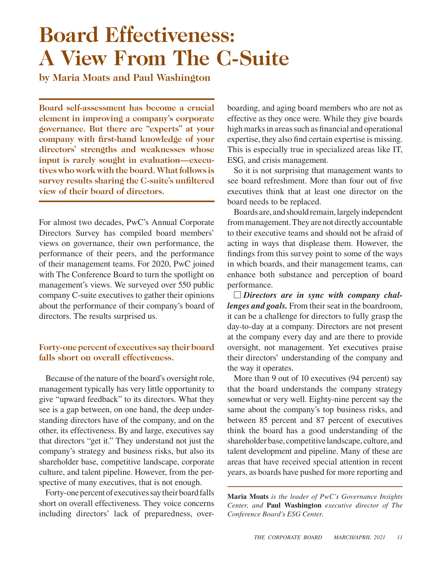# **Board Effectiveness: A View From The C-Suite**

**by Maria Moats and Paul Washington**

**Board self-assessment has become a crucial element in improving a company's corporate governance. But there are "experts" at your company with first-hand knowledge of your directors' strengths and weaknesses whose input is rarely sought in evaluation—executives who work with the board. What follows is survey results sharing the C-suite's unfiltered view of their board of directors.**

For almost two decades, PwC's Annual Corporate Directors Survey has compiled board members' views on governance, their own performance, the performance of their peers, and the performance of their management teams. For 2020, PwC joined with The Conference Board to turn the spotlight on management's views. We surveyed over 550 public company C-suite executives to gather their opinions about the performance of their company's board of directors. The results surprised us.

## **Forty-one percent of executives say their board falls short on overall effectiveness.**

Because of the nature of the board's oversight role, management typically has very little opportunity to give "upward feedback" to its directors. What they see is a gap between, on one hand, the deep understanding directors have of the company, and on the other, its effectiveness. By and large, executives say that directors "get it." They understand not just the company's strategy and business risks, but also its shareholder base, competitive landscape, corporate culture, and talent pipeline. However, from the perspective of many executives, that is not enough.

Forty-one percent of executives say their board falls short on overall effectiveness. They voice concerns including directors' lack of preparedness, overboarding, and aging board members who are not as effective as they once were. While they give boards high marks in areas such as financial and operational expertise, they also find certain expertise is missing. This is especially true in specialized areas like IT, ESG, and crisis management.

So it is not surprising that management wants to see board refreshment. More than four out of five executives think that at least one director on the board needs to be replaced.

Boards are, and should remain, largely independent from management. They are not directly accountable to their executive teams and should not be afraid of acting in ways that displease them. However, the findings from this survey point to some of the ways in which boards, and their management teams, can enhance both substance and perception of board performance.

*Directors are in sync with company challenges and goals.* From their seat in the boardroom, it can be a challenge for directors to fully grasp the day-to-day at a company. Directors are not present at the company every day and are there to provide oversight, not management. Yet executives praise their directors' understanding of the company and the way it operates.

More than 9 out of 10 executives (94 percent) say that the board understands the company strategy somewhat or very well. Eighty-nine percent say the same about the company's top business risks, and between 85 percent and 87 percent of executives think the board has a good understanding of the shareholder base, competitive landscape, culture, and talent development and pipeline. Many of these are areas that have received special attention in recent years, as boards have pushed for more reporting and

**Maria Moats** *is the leader of PwC's Governance Insights Center, and* **Paul Washington** *executive director of The Conference Board's ESG Center.*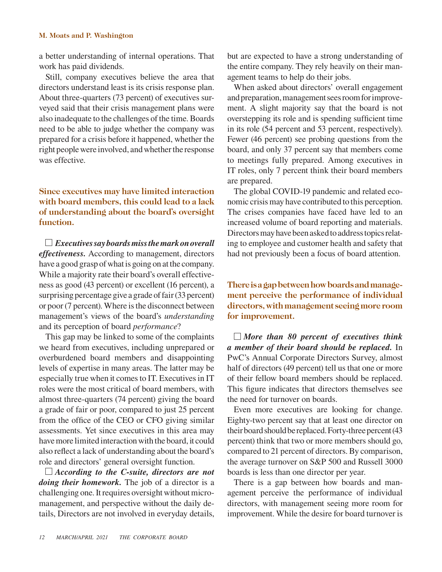#### **M. Moats and P. Washington**

a better understanding of internal operations. That work has paid dividends.

Still, company executives believe the area that directors understand least is its crisis response plan. About three-quarters (73 percent) of executives surveyed said that their crisis management plans were also inadequate to the challenges of the time. Boards need to be able to judge whether the company was prepared for a crisis before it happened, whether the right people were involved, and whether the response was effective.

## **Since executives may have limited interaction with board members, this could lead to a lack of understanding about the board's oversight function.**

*Executives say boards miss the mark on overall effectiveness.* According to management, directors have a good grasp of what is going on at the company. While a majority rate their board's overall effectiveness as good (43 percent) or excellent (16 percent), a surprising percentage give a grade of fair (33 percent) or poor (7 percent). Where is the disconnect between management's views of the board's *understanding* and its perception of board *performance*?

This gap may be linked to some of the complaints we heard from executives, including unprepared or overburdened board members and disappointing levels of expertise in many areas. The latter may be especially true when it comes to IT. Executives in IT roles were the most critical of board members, with almost three-quarters (74 percent) giving the board a grade of fair or poor, compared to just 25 percent from the office of the CEO or CFO giving similar assessments. Yet since executives in this area may have more limited interaction with the board, it could also reflect a lack of understanding about the board's role and directors' general oversight function.

*According to the C-suite, directors are not doing their homework.* The job of a director is a challenging one. It requires oversight without micromanagement, and perspective without the daily details, Directors are not involved in everyday details,

but are expected to have a strong understanding of the entire company. They rely heavily on their management teams to help do their jobs.

When asked about directors' overall engagement and preparation, management sees room for improvement. A slight majority say that the board is not overstepping its role and is spending sufficient time in its role (54 percent and 53 percent, respectively). Fewer (46 percent) see probing questions from the board, and only 37 percent say that members come to meetings fully prepared. Among executives in IT roles, only 7 percent think their board members are prepared.

The global COVID-19 pandemic and related economic crisis may have contributed to this perception. The crises companies have faced have led to an increased volume of board reporting and materials. Directors may have been asked to address topics relating to employee and customer health and safety that had not previously been a focus of board attention.

**There is a gap between how boards and management perceive the performance of individual directors, with management seeing more room for improvement.**

*More than 80 percent of executives think a member of their board should be replaced.* In PwC's Annual Corporate Directors Survey, almost half of directors (49 percent) tell us that one or more of their fellow board members should be replaced. This figure indicates that directors themselves see the need for turnover on boards.

Even more executives are looking for change. Eighty-two percent say that at least one director on their board should be replaced. Forty-three percent (43 percent) think that two or more members should go, compared to 21 percent of directors. By comparison, the average turnover on S&P 500 and Russell 3000 boards is less than one director per year.

There is a gap between how boards and management perceive the performance of individual directors, with management seeing more room for improvement. While the desire for board turnover is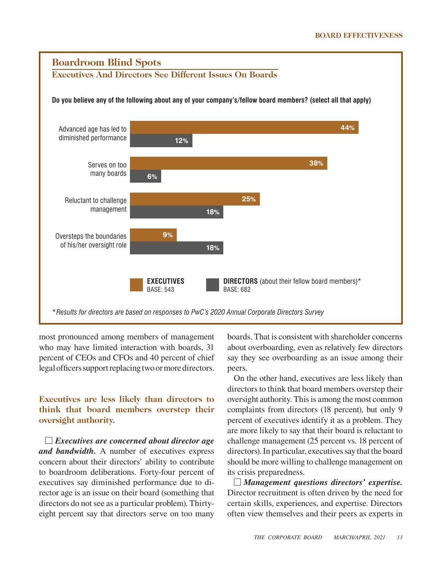

most pronounced among members of management who may have limited interaction with boards, 31 percent of CEOs and CFOs and 40 percent of chief legal officers support replacing two or more directors.

## **Executives are less likely than directors to think that board members overstep their oversight authority.**

*Executives are concerned about director age and bandwidth.* A number of executives express concern about their directors' ability to contribute to boardroom deliberations. Forty-four percent of executives say diminished performance due to director age is an issue on their board (something that directors do not see as a particular problem). Thirtyeight percent say that directors serve on too many

boards. That is consistent with shareholder concerns about overboarding, even as relatively few directors say they see overboarding as an issue among their peers.

On the other hand, executives are less likely than directors to think that board members overstep their oversight authority. This is among the most common complaints from directors (18 percent), but only 9 percent of executives identify it as a problem. They are more likely to say that their board is reluctant to challenge management (25 percent vs. 18 percent of directors). In particular, executives say that the board should be more willing to challenge management on its crisis preparedness.

*Management questions directors' expertise.*  Director recruitment is often driven by the need for certain skills, experiences, and expertise. Directors often view themselves and their peers as experts in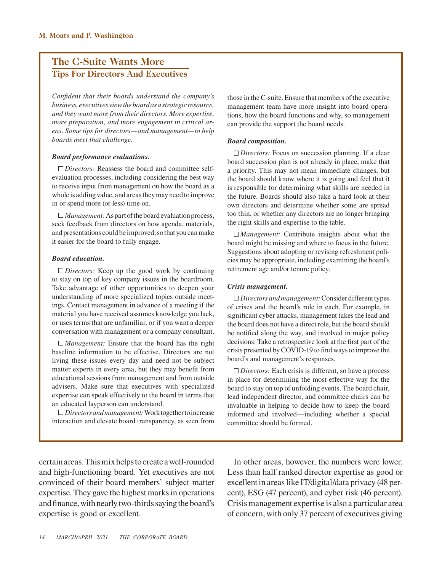## **The C-Suite Wants More Tips For Directors And Executives**

*Confident that their boards understand the company's business, executives view the board as a strategic resource, and they want more from their directors. More expertise, more preparation, and more engagement in critical areas. Some tips for directors—and management—to help boards meet that challenge.*

#### *Board performance evaluations.*

*Directors:* Reassess the board and committee selfevaluation processes, including considering the best way to receive input from management on how the board as a whole is adding value, and areas they may need to improve in or spend more (or less) time on.

*Management:* As part of the board evaluation process, seek feedback from directors on how agenda, materials, and presentations could be improved, so that you can make it easier for the board to fully engage.

#### *Board education.*

*Directors:* Keep up the good work by continuing to stay on top of key company issues in the boardroom. Take advantage of other opportunities to deepen your understanding of more specialized topics outside meetings. Contact management in advance of a meeting if the material you have received assumes knowledge you lack, or uses terms that are unfamiliar, or if you want a deeper conversation with management or a company consultant.

*Management:* Ensure that the board has the right baseline information to be effective. Directors are not living these issues every day and need not be subject matter experts in every area, but they may benefit from educational sessions from management and from outside advisers. Make sure that executives with specialized expertise can speak effectively to the board in terms that an educated layperson can understand.

*Directors and management:* Work together to increase interaction and elevate board transparency, as seen from those in the C-suite. Ensure that members of the executive management team have more insight into board operations, how the board functions and why, so management can provide the support the board needs.

#### *Board composition.*

*Directors:* Focus on succession planning. If a clear board succession plan is not already in place, make that a priority. This may not mean immediate changes, but the board should know where it is going and feel that it is responsible for determining what skills are needed in the future. Boards should also take a hard look at their own directors and determine whether some are spread too thin, or whether any directors are no longer bringing the right skills and expertise to the table.

*Management:* Contribute insights about what the board might be missing and where to focus in the future. Suggestions about adopting or revising refreshment policies may be appropriate, including examining the board's retirement age and/or tenure policy.

#### *Crisis management.*

*Directors and management:* Consider different types of crises and the board's role in each. For example, in significant cyber attacks, management takes the lead and the board does not have a direct role, but the board should be notified along the way, and involved in major policy decisions. Take a retrospective look at the first part of the crisis presented by COVID-19 to find ways to improve the board's and management's responses.

*Directors:* Each crisis is different, so have a process in place for determining the most effective way for the board to stay on top of unfolding events. The board chair, lead independent director, and committee chairs can be invaluable in helping to decide how to keep the board informed and involved—including whether a special committee should be formed.

certain areas. This mix helps to create a well-rounded and high-functioning board. Yet executives are not convinced of their board members' subject matter expertise. They gave the highest marks in operations and finance, with nearly two-thirds saying the board's expertise is good or excellent.

In other areas, however, the numbers were lower. Less than half ranked director expertise as good or excellent in areas like IT/digital/data privacy (48 percent), ESG (47 percent), and cyber risk (46 percent). Crisis management expertise is also a particular area of concern, with only 37 percent of executives giving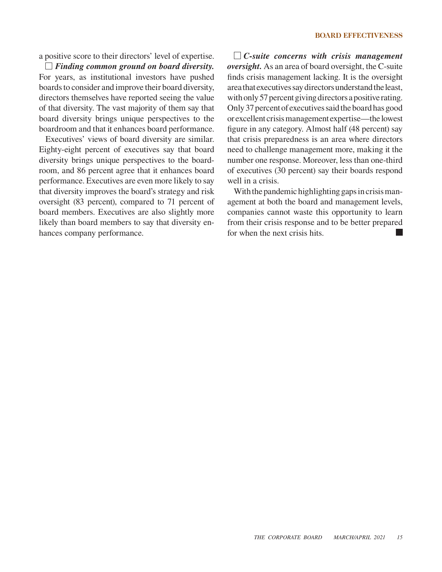a positive score to their directors' level of expertise.

*Finding common ground on board diversity.*  For years, as institutional investors have pushed boards to consider and improve their board diversity, directors themselves have reported seeing the value of that diversity. The vast majority of them say that board diversity brings unique perspectives to the boardroom and that it enhances board performance.

Executives' views of board diversity are similar. Eighty-eight percent of executives say that board diversity brings unique perspectives to the boardroom, and 86 percent agree that it enhances board performance. Executives are even more likely to say that diversity improves the board's strategy and risk oversight (83 percent), compared to 71 percent of board members. Executives are also slightly more likely than board members to say that diversity enhances company performance.

*C-suite concerns with crisis management oversight.* As an area of board oversight, the C-suite finds crisis management lacking. It is the oversight area that executives say directors understand the least, with only 57 percent giving directors a positive rating. Only 37 percent of executives said the board has good or excellent crisis management expertise—the lowest figure in any category. Almost half (48 percent) say that crisis preparedness is an area where directors need to challenge management more, making it the number one response. Moreover, less than one-third of executives (30 percent) say their boards respond well in a crisis.

With the pandemic highlighting gaps in crisis management at both the board and management levels, companies cannot waste this opportunity to learn from their crisis response and to be better prepared for when the next crisis hits.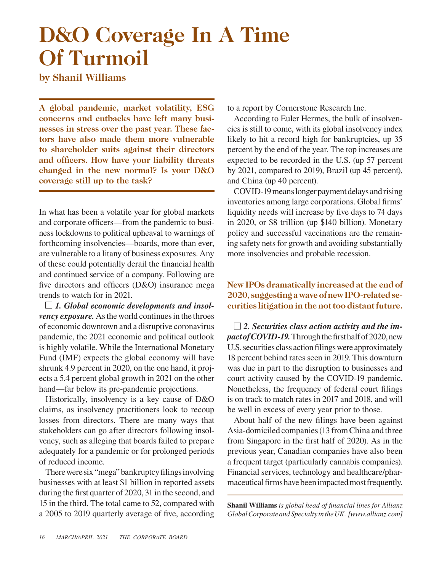# **D&O Coverage In A Time Of Turmoil**

**by Shanil Williams**

**A global pandemic, market volatility, ESG concerns and cutbacks have left many businesses in stress over the past year. These factors have also made them more vulnerable to shareholder suits against their directors and officers. How have your liability threats changed in the new normal? Is your D&O coverage still up to the task?**

In what has been a volatile year for global markets and corporate officers—from the pandemic to business lockdowns to political upheaval to warnings of forthcoming insolvencies—boards, more than ever, are vulnerable to a litany of business exposures. Any of these could potentially derail the financial health and continued service of a company. Following are five directors and officers (D&O) insurance mega trends to watch for in 2021.

*1. Global economic developments and insolvency exposure.* As the world continues in the throes of economic downtown and a disruptive coronavirus pandemic, the 2021 economic and political outlook is highly volatile. While the International Monetary Fund (IMF) expects the global economy will have shrunk 4.9 percent in 2020, on the one hand, it projects a 5.4 percent global growth in 2021 on the other hand—far below its pre-pandemic projections.

Historically, insolvency is a key cause of D&O claims, as insolvency practitioners look to recoup losses from directors. There are many ways that stakeholders can go after directors following insolvency, such as alleging that boards failed to prepare adequately for a pandemic or for prolonged periods of reduced income.

There were six "mega" bankruptcy filings involving businesses with at least \$1 billion in reported assets during the first quarter of 2020, 31 in the second, and 15 in the third. The total came to 52, compared with a 2005 to 2019 quarterly average of five, according to a report by Cornerstone Research Inc.

According to Euler Hermes, the bulk of insolvencies is still to come, with its global insolvency index likely to hit a record high for bankruptcies, up 35 percent by the end of the year. The top increases are expected to be recorded in the U.S. (up 57 percent by 2021, compared to 2019), Brazil (up 45 percent), and China (up 40 percent).

COVID-19 means longer payment delays and rising inventories among large corporations. Global firms' liquidity needs will increase by five days to 74 days in 2020, or \$8 trillion (up \$140 billion). Monetary policy and successful vaccinations are the remaining safety nets for growth and avoiding substantially more insolvencies and probable recession.

**New IPOs dramatically increased at the end of 2020, suggesting a wave of new IPO-related securities litigation in the not too distant future.**

*2. Securities class action activity and the impact of COVID-19.* Through the first half of 2020, new U.S. securities class action filings were approximately 18 percent behind rates seen in 2019. This downturn was due in part to the disruption to businesses and court activity caused by the COVID-19 pandemic. Nonetheless, the frequency of federal court filings is on track to match rates in 2017 and 2018, and will be well in excess of every year prior to those.

About half of the new filings have been against Asia-domiciled companies (13 from China and three from Singapore in the first half of 2020). As in the previous year, Canadian companies have also been a frequent target (particularly cannabis companies). Financial services, technology and healthcare/pharmaceutical firms have been impacted most frequently.

**Shanil Williams** *is global head of financial lines for Allianz Global Corporate and Specialty in the UK. [www.allianz.com]*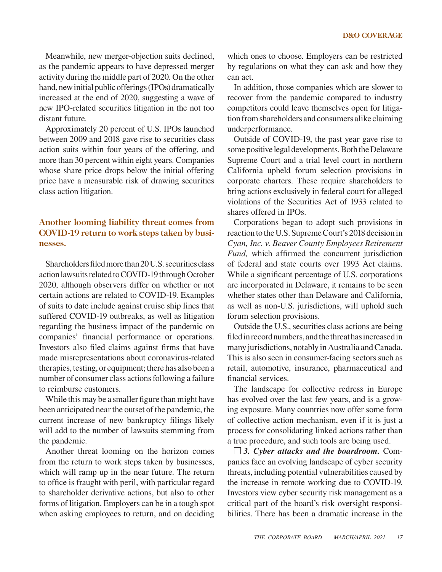Meanwhile, new merger-objection suits declined, as the pandemic appears to have depressed merger activity during the middle part of 2020. On the other hand, new initial public offerings (IPOs) dramatically increased at the end of 2020, suggesting a wave of new IPO-related securities litigation in the not too distant future.

Approximately 20 percent of U.S. IPOs launched between 2009 and 2018 gave rise to securities class action suits within four years of the offering, and more than 30 percent within eight years. Companies whose share price drops below the initial offering price have a measurable risk of drawing securities class action litigation.

### **Another looming liability threat comes from COVID-19 return to work steps taken by businesses.**

Shareholders filed more than 20 U.S. securities class action lawsuits related to COVID-19 through October 2020, although observers differ on whether or not certain actions are related to COVID-19. Examples of suits to date include against cruise ship lines that suffered COVID-19 outbreaks, as well as litigation regarding the business impact of the pandemic on companies' financial performance or operations. Investors also filed claims against firms that have made misrepresentations about coronavirus-related therapies, testing, or equipment; there has also been a number of consumer class actions following a failure to reimburse customers.

While this may be a smaller figure than might have been anticipated near the outset of the pandemic, the current increase of new bankruptcy filings likely will add to the number of lawsuits stemming from the pandemic.

Another threat looming on the horizon comes from the return to work steps taken by businesses, which will ramp up in the near future. The return to office is fraught with peril, with particular regard to shareholder derivative actions, but also to other forms of litigation. Employers can be in a tough spot when asking employees to return, and on deciding which ones to choose. Employers can be restricted by regulations on what they can ask and how they can act.

In addition, those companies which are slower to recover from the pandemic compared to industry competitors could leave themselves open for litigation from shareholders and consumers alike claiming underperformance.

Outside of COVID-19, the past year gave rise to some positive legal developments. Both the Delaware Supreme Court and a trial level court in northern California upheld forum selection provisions in corporate charters. These require shareholders to bring actions exclusively in federal court for alleged violations of the Securities Act of 1933 related to shares offered in IPOs.

Corporations began to adopt such provisions in reaction to the U.S. Supreme Court's 2018 decision in *Cyan, Inc. v. Beaver County Employees Retirement Fund,* which affirmed the concurrent jurisdiction of federal and state courts over 1993 Act claims. While a significant percentage of U.S. corporations are incorporated in Delaware, it remains to be seen whether states other than Delaware and California, as well as non-U.S. jurisdictions, will uphold such forum selection provisions.

Outside the U.S., securities class actions are being filed in record numbers, and the threat has increased in many jurisdictions, notably in Australia and Canada. This is also seen in consumer-facing sectors such as retail, automotive, insurance, pharmaceutical and financial services.

The landscape for collective redress in Europe has evolved over the last few years, and is a growing exposure. Many countries now offer some form of collective action mechanism, even if it is just a process for consolidating linked actions rather than a true procedure, and such tools are being used.

*3. Cyber attacks and the boardroom.* Companies face an evolving landscape of cyber security threats, including potential vulnerabilities caused by the increase in remote working due to COVID-19. Investors view cyber security risk management as a critical part of the board's risk oversight responsibilities. There has been a dramatic increase in the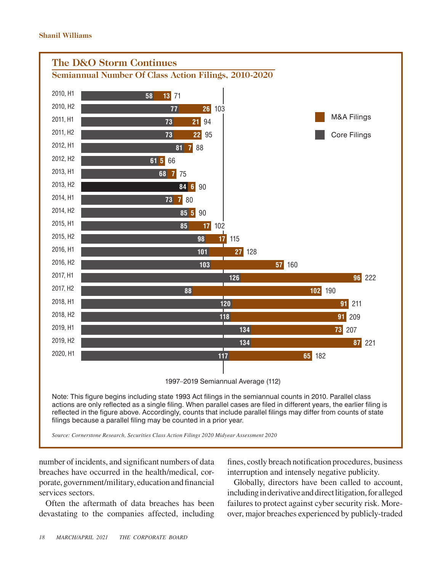

number of incidents, and significant numbers of data breaches have occurred in the health/medical, corporate, government/military, education and financial services sectors.

Often the aftermath of data breaches has been devastating to the companies affected, including fines, costly breach notification procedures, business interruption and intensely negative publicity.

Globally, directors have been called to account, including in derivative and direct litigation, for alleged failures to protect against cyber security risk. Moreover, major breaches experienced by publicly-traded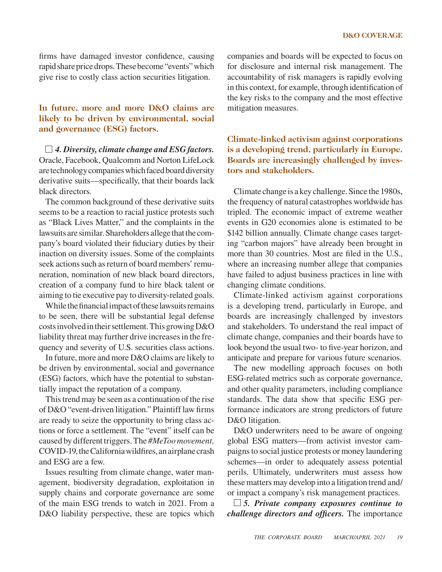firms have damaged investor confidence, causing rapid share price drops. These become "events" which give rise to costly class action securities litigation.

### **In future, more and more D&O claims are likely to be driven by environmental, social and governance (ESG) factors.**

*4. Diversity, climate change and ESG factors.*  Oracle, Facebook, Qualcomm and Norton LifeLock are technology companies which faced board diversity derivative suits—specifically, that their boards lack black directors.

The common background of these derivative suits seems to be a reaction to racial justice protests such as "Black Lives Matter," and the complaints in the lawsuits are similar. Shareholders allege that the company's board violated their fiduciary duties by their inaction on diversity issues. Some of the complaints seek actions such as return of board members' remuneration, nomination of new black board directors, creation of a company fund to hire black talent or aiming to tie executive pay to diversity-related goals.

While the financial impact of these lawsuits remains to be seen, there will be substantial legal defense costs involved in their settlement. This growing D&O liability threat may further drive increases in the frequency and severity of U.S. securities class actions.

In future, more and more D&O claims are likely to be driven by environmental, social and governance (ESG) factors, which have the potential to substantially impact the reputation of a company.

This trend may be seen as a continuation of the rise of D&O "event-driven litigation." Plaintiff law firms are ready to seize the opportunity to bring class actions or force a settlement. The "event" itself can be caused by different triggers. The *#MeToo movement,*  COVID-19, the California wildfires, an airplane crash and ESG are a few.

Issues resulting from climate change, water management, biodiversity degradation, exploitation in supply chains and corporate governance are some of the main ESG trends to watch in 2021. From a D&O liability perspective, these are topics which companies and boards will be expected to focus on for disclosure and internal risk management. The accountability of risk managers is rapidly evolving in this context, for example, through identification of the key risks to the company and the most effective mitigation measures.

**Climate-linked activism against corporations is a developing trend, particularly in Europe. Boards are increasingly challenged by investors and stakeholders.**

Climate change is a key challenge. Since the 1980s, the frequency of natural catastrophes worldwide has tripled. The economic impact of extreme weather events in G20 economies alone is estimated to be \$142 billion annually. Climate change cases targeting "carbon majors" have already been brought in more than 30 countries. Most are filed in the U.S., where an increasing number allege that companies have failed to adjust business practices in line with changing climate conditions.

Climate-linked activism against corporations is a developing trend, particularly in Europe, and boards are increasingly challenged by investors and stakeholders. To understand the real impact of climate change, companies and their boards have to look beyond the usual two- to five-year horizon, and anticipate and prepare for various future scenarios.

The new modelling approach focuses on both ESG-related metrics such as corporate governance, and other quality parameters, including compliance standards. The data show that specific ESG performance indicators are strong predictors of future D&O litigation.

D&O underwriters need to be aware of ongoing global ESG matters—from activist investor campaigns to social justice protests or money laundering schemes—in order to adequately assess potential perils. Ultimately, underwriters must assess how these matters may develop into a litigation trend and/ or impact a company's risk management practices.

*5. Private company exposures continue to challenge directors and officers.* The importance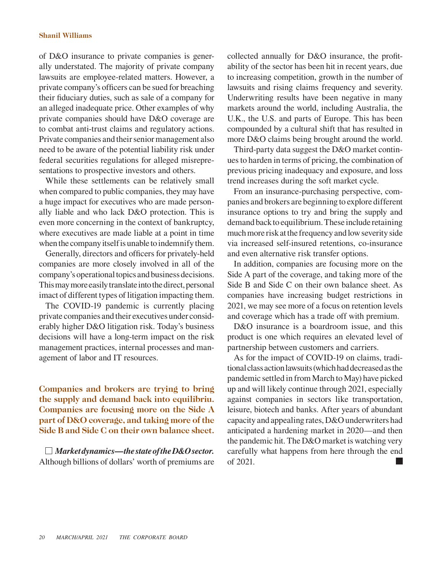#### **Shanil Williams**

of D&O insurance to private companies is generally understated. The majority of private company lawsuits are employee-related matters. However, a private company's officers can be sued for breaching their fiduciary duties, such as sale of a company for an alleged inadequate price. Other examples of why private companies should have D&O coverage are to combat anti-trust claims and regulatory actions. Private companies and their senior management also need to be aware of the potential liability risk under federal securities regulations for alleged misrepresentations to prospective investors and others.

While these settlements can be relatively small when compared to public companies, they may have a huge impact for executives who are made personally liable and who lack D&O protection. This is even more concerning in the context of bankruptcy, where executives are made liable at a point in time when the company itself is unable to indemnify them.

Generally, directors and officers for privately-held companies are more closely involved in all of the company's operational topics and business decisions. This may more easily translate into the direct, personal imact of different types of litigation impacting them.

The COVID-19 pandemic is currently placing private companies and their executives under considerably higher D&O litigation risk. Today's business decisions will have a long-term impact on the risk management practices, internal processes and management of labor and IT resources.

**Companies and brokers are trying to bring the supply and demand back into equilibriu. Companies are focusing more on the Side A part of D&O coverage, and taking more of the Side B and Side C on their own balance sheet.**

*Market dynamics—the state of the D&O sector.*  Although billions of dollars' worth of premiums are collected annually for D&O insurance, the profitability of the sector has been hit in recent years, due to increasing competition, growth in the number of lawsuits and rising claims frequency and severity. Underwriting results have been negative in many markets around the world, including Australia, the U.K., the U.S. and parts of Europe. This has been compounded by a cultural shift that has resulted in more D&O claims being brought around the world.

Third-party data suggest the D&O market continues to harden in terms of pricing, the combination of previous pricing inadequacy and exposure, and loss trend increases during the soft market cycle.

From an insurance-purchasing perspective, companies and brokers are beginning to explore different insurance options to try and bring the supply and demand back to equilibrium. These include retaining much more risk at the frequency and low severity side via increased self-insured retentions, co-insurance and even alternative risk transfer options.

In addition, companies are focusing more on the Side A part of the coverage, and taking more of the Side B and Side C on their own balance sheet. As companies have increasing budget restrictions in 2021, we may see more of a focus on retention levels and coverage which has a trade off with premium.

D&O insurance is a boardroom issue, and this product is one which requires an elevated level of partnership between customers and carriers.

As for the impact of COVID-19 on claims, traditional class action lawsuits (which had decreased as the pandemic settled in from March to May) have picked up and will likely continue through 2021, especially against companies in sectors like transportation, leisure, biotech and banks. After years of abundant capacity and appealing rates, D&O underwriters had anticipated a hardening market in 2020—and then the pandemic hit. The D&O market is watching very carefully what happens from here through the end of 2021.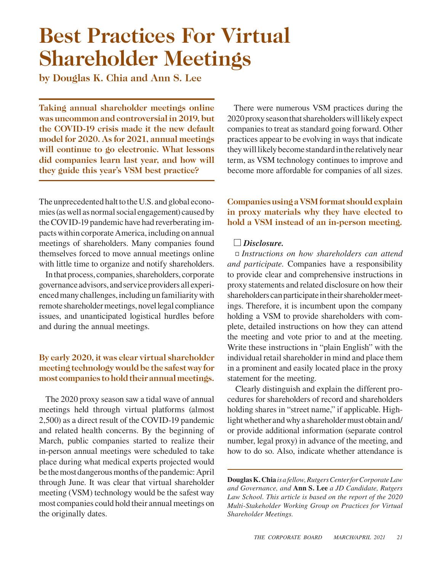## **Best Practices For Virtual Shareholder Meetings**

**by Douglas K. Chia and Ann S. Lee**

**Taking annual shareholder meetings online was uncommon and controversial in 2019, but the COVID-19 crisis made it the new default model for 2020. As for 2021, annual meetings will continue to go electronic. What lessons did companies learn last year, and how will they guide this year's VSM best practice?**

The unprecedented halt to the U.S. and global economies (as well as normal social engagement) caused by the COVID-19 pandemic have had reverberating impacts within corporate America, including on annual meetings of shareholders. Many companies found themselves forced to move annual meetings online with little time to organize and notify shareholders.

In that process, companies, shareholders, corporate governance advisors, and service providers all experienced many challenges, including un familiarity with remote shareholder meetings, novel legal compliance issues, and unanticipated logistical hurdles before and during the annual meetings.

## **By early 2020, it was clear virtual shareholder meeting technology would be the safest way for most companies to hold their annual meetings.**

The 2020 proxy season saw a tidal wave of annual meetings held through virtual platforms (almost 2,500) as a direct result of the COVID-19 pandemic and related health concerns. By the beginning of March, public companies started to realize their in-person annual meetings were scheduled to take place during what medical experts projected would be the most dangerous months of the pandemic: April through June. It was clear that virtual shareholder meeting (VSM) technology would be the safest way most companies could hold their annual meetings on the originally dates.

There were numerous VSM practices during the 2020 proxy season that shareholders will likely expect companies to treat as standard going forward. Other practices appear to be evolving in ways that indicate they will likely become standard in the relatively near term, as VSM technology continues to improve and become more affordable for companies of all sizes.

## **Companies using a VSM format should explain in proxy materials why they have elected to hold a VSM instead of an in-person meeting.**

### *Disclosure.*

*Instructions on how shareholders can attend and participate.* Companies have a responsibility to provide clear and comprehensive instructions in proxy statements and related disclosure on how their shareholders can participate in their shareholder meetings. Therefore, it is incumbent upon the company holding a VSM to provide shareholders with complete, detailed instructions on how they can attend the meeting and vote prior to and at the meeting. Write these instructions in "plain English" with the individual retail shareholder in mind and place them in a prominent and easily located place in the proxy statement for the meeting.

Clearly distinguish and explain the different procedures for shareholders of record and shareholders holding shares in "street name," if applicable. Highlight whether and why a shareholder must obtain and/ or provide additional information (separate control number, legal proxy) in advance of the meeting, and how to do so. Also, indicate whether attendance is

**Douglas K. Chia** *is a fellow, Rutgers Center for Corporate Law and Governance, and* **Ann S. Lee** *a JD Candidate, Rutgers Law School. This article is based on the report of the 2020 Multi-Stakeholder Working Group on Practices for Virtual Shareholder Meetings.*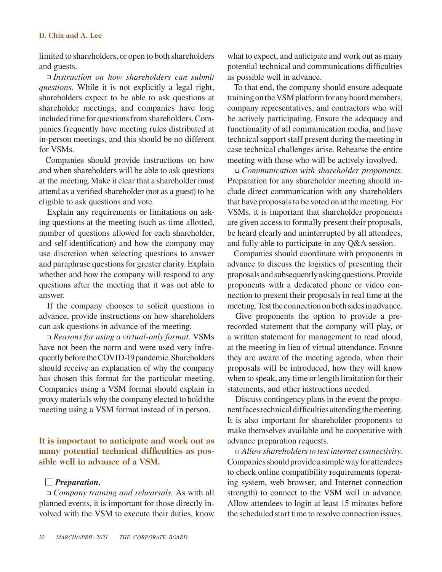#### **D. Chia and A. Lee**

limited to shareholders, or open to both shareholders and guests.

*Instruction on how shareholders can submit questions.* While it is not explicitly a legal right, shareholders expect to be able to ask questions at shareholder meetings, and companies have long included time for questions from shareholders. Companies frequently have meeting rules distributed at in-person meetings, and this should be no different for VSMs.

Companies should provide instructions on how and when shareholders will be able to ask questions at the meeting.Make it clear that a shareholder must attend as a verified shareholder (not as a guest) to be eligible to ask questions and vote.

Explain any requirements or limitations on asking questions at the meeting (such as time allotted, number of questions allowed for each shareholder, and self-identification) and how the company may use discretion when selecting questions to answer and paraphrase questions for greater clarity. Explain whether and how the company will respond to any questions after the meeting that it was not able to answer.

If the company chooses to solicit questions in advance, provide instructions on how shareholders can ask questions in advance of the meeting.

*Reasons for using a virtual-only format.* VSMs have not been the norm and were used very infrequently before the COVID-19 pandemic. Shareholders should receive an explanation of why the company has chosen this format for the particular meeting. Companies using a VSM format should explain in proxy materials why the company elected to hold the meeting using a VSM format instead of in person.

**It is important to anticipate and work out as many potential technical difficulties as possible well in advance of a VSM.**

#### *Preparation.*

*Company training and rehearsals.* As with all planned events, it is important for those directly involved with the VSM to execute their duties, know what to expect, and anticipate and work out as many potential technical and communications difficulties as possible well in advance.

To that end, the company should ensure adequate training on the VSM platform for any board members, company representatives, and contractors who will be actively participating. Ensure the adequacy and functionality of all communication media, and have technical support staff present during the meeting in case technical challenges arise. Rehearse the entire meeting with those who will be actively involved.

*Communication with shareholder proponents.*  Preparation for any shareholder meeting should include direct communication with any shareholders that have proposals to be voted on at the meeting. For VSMs, it is important that shareholder proponents are given access to formally present their proposals, be heard clearly and uninterrupted by all attendees, and fully able to participate in any Q&A session.

Companies should coordinate with proponents in advance to discuss the logistics of presenting their proposals and subsequently asking questions. Provide proponents with a dedicated phone or video connection to present their proposals in real time at the meeting. Test the connection on both sides in advance.

Give proponents the option to provide a prerecorded statement that the company will play, or a written statement for management to read aloud, at the meeting in lieu of virtual attendance. Ensure they are aware of the meeting agenda, when their proposals will be introduced, how they will know when to speak, any time or length limitation for their statements, and other instructions needed.

Discuss contingency plans in the event the proponent faces technical difficulties attending the meeting. It is also important for shareholder proponents to make themselves available and be cooperative with advance preparation requests.

*Allow shareholders to test internet connectivity.*  Companies should provide a simple way for attendees to check online compatibility requirements (operating system, web browser, and Internet connection strength) to connect to the VSM well in advance. Allow attendees to login at least 15 minutes before the scheduled start time to resolve connection issues.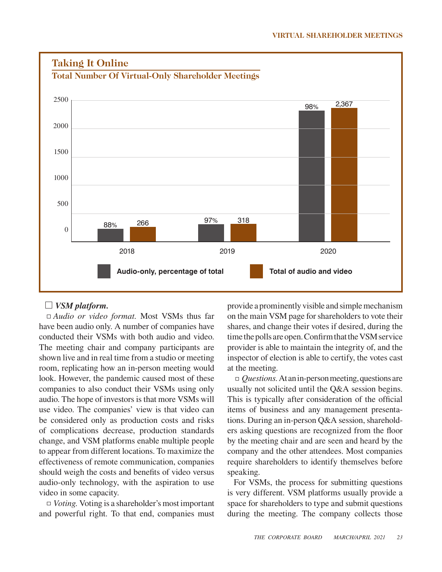

### *VSM platform.*

*Audio or video format.* Most VSMs thus far have been audio only. A number of companies have conducted their VSMs with both audio and video. The meeting chair and company participants are shown live and in real time from a studio or meeting room, replicating how an in-person meeting would look. However, the pandemic caused most of these companies to also conduct their VSMs using only audio. The hope of investors is that more VSMs will use video. The companies' view is that video can be considered only as production costs and risks of complications decrease, production standards change, and VSM platforms enable multiple people to appear from different locations. To maximize the effectiveness of remote communication, companies should weigh the costs and benefits of video versus audio-only technology, with the aspiration to use video in some capacity.

*Voting.* Voting is a shareholder's most important and powerful right. To that end, companies must provide a prominently visible and simple mechanism on the main VSM page for shareholders to vote their shares, and change their votes if desired, during the time the polls are open. Confirm that the VSM service provider is able to maintain the integrity of, and the inspector of election is able to certify, the votes cast at the meeting.

*Questions.* At an in-person meeting, questions are usually not solicited until the Q&A session begins. This is typically after consideration of the official items of business and any management presentations. During an in-person Q&A session, shareholders asking questions are recognized from the floor by the meeting chair and are seen and heard by the company and the other attendees. Most companies require shareholders to identify themselves before speaking.

For VSMs, the process for submitting questions is very different. VSM platforms usually provide a space for shareholders to type and submit questions during the meeting. The company collects those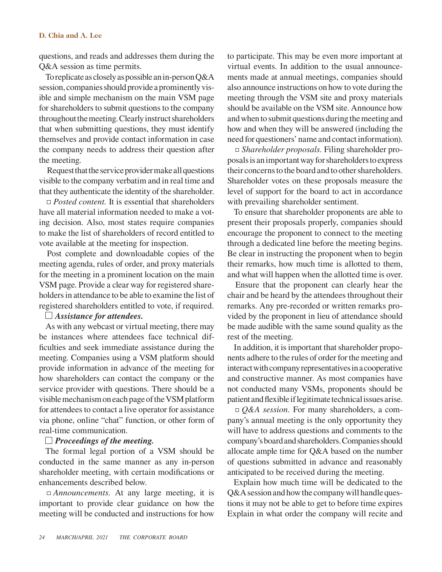#### **D. Chia and A. Lee**

questions, and reads and addresses them during the Q&A session as time permits.

To replicate as closely as possible an in-person Q&A session, companies should provide a prominently visible and simple mechanism on the main VSM page for shareholders to submit questions to the company throughout the meeting. Clearly instruct shareholders that when submitting questions, they must identify themselves and provide contact information in case the company needs to address their question after the meeting.

Request that the service provider make all questions visible to the company verbatim and in real time and that they authenticate the identity of the shareholder.

□ *Posted content*. It is essential that shareholders have all material information needed to make a voting decision. Also, most states require companies to make the list of shareholders of record entitled to vote available at the meeting for inspection.

Post complete and downloadable copies of the meeting agenda, rules of order, and proxy materials for the meeting in a prominent location on the main VSM page. Provide a clear way for registered shareholders in attendance to be able to examine the list of registered shareholders entitled to vote, if required.

#### *Assistance for attendees.*

As with any webcast or virtual meeting, there may be instances where attendees face technical difficulties and seek immediate assistance during the meeting. Companies using a VSM platform should provide information in advance of the meeting for how shareholders can contact the company or the service provider with questions. There should be a visible mechanism on each page of the VSM platform for attendees to contact a live operator for assistance via phone, online "chat" function, or other form of real-time communication.

#### *Proceedings of the meeting.*

The formal legal portion of a VSM should be conducted in the same manner as any in-person shareholder meeting, with certain modifications or enhancements described below.

*Announcements.* At any large meeting, it is important to provide clear guidance on how the meeting will be conducted and instructions for how to participate. This may be even more important at virtual events. In addition to the usual announcements made at annual meetings, companies should also announce instructions on how to vote during the meeting through the VSM site and proxy materials should be available on the VSM site. Announce how and when to submit questions during the meeting and how and when they will be answered (including the need for questioners' name and contact information).

*Shareholder proposals.* Filing shareholder proposals is an important way for shareholders to express their concerns to the board and to other shareholders. Shareholder votes on these proposals measure the level of support for the board to act in accordance with prevailing shareholder sentiment.

To ensure that shareholder proponents are able to present their proposals properly, companies should encourage the proponent to connect to the meeting through a dedicated line before the meeting begins. Be clear in instructing the proponent when to begin their remarks, how much time is allotted to them, and what will happen when the allotted time is over.

Ensure that the proponent can clearly hear the chair and be heard by the attendees throughout their remarks. Any pre-recorded or written remarks provided by the proponent in lieu of attendance should be made audible with the same sound quality as the rest of the meeting.

In addition, it is important that shareholder proponents adhere to the rules of order for the meeting and interact with company representatives in a cooperative and constructive manner. As most companies have not conducted many VSMs, proponents should be patient and flexible if legitimate technical issues arise.

*Q&A session.* For many shareholders, a company's annual meeting is the only opportunity they will have to address questions and comments to the company's board and shareholders. Companies should allocate ample time for Q&A based on the number of questions submitted in advance and reasonably anticipated to be received during the meeting.

Explain how much time will be dedicated to the Q&A session and how the company will handle questions it may not be able to get to before time expires Explain in what order the company will recite and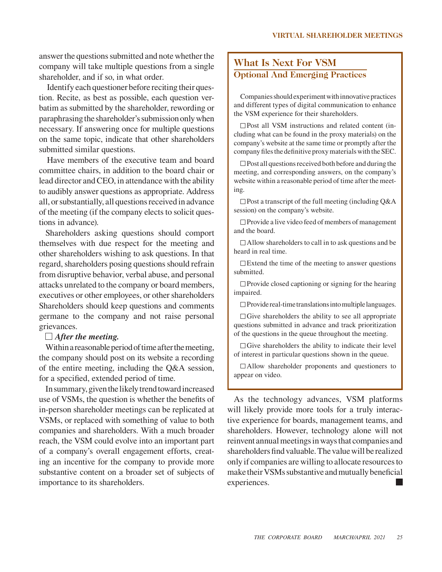answer the questions submitted and note whether the company will take multiple questions from a single shareholder, and if so, in what order.

Identify each questioner before reciting their question. Recite, as best as possible, each question verbatim as submitted by the shareholder, rewording or paraphrasing the shareholder's submission only when necessary. If answering once for multiple questions on the same topic, indicate that other shareholders submitted similar questions.

Have members of the executive team and board committee chairs, in addition to the board chair or lead director and CEO, in attendance with the ability to audibly answer questions as appropriate. Address all, or substantially, all questions received in advance of the meeting (if the company elects to solicit questions in advance).

Shareholders asking questions should comport themselves with due respect for the meeting and other shareholders wishing to ask questions. In that regard, shareholders posing questions should refrain from disruptive behavior, verbal abuse, and personal attacks unrelated to the company or board members, executives or other employees, or other shareholders Shareholders should keep questions and comments germane to the company and not raise personal grievances.

#### *After the meeting.*

Within a reasonable period of time after the meeting, the company should post on its website a recording of the entire meeting, including the Q&A session, for a specified, extended period of time.

In summary, given the likely trend toward increased use of VSMs, the question is whether the benefits of in-person shareholder meetings can be replicated at VSMs, or replaced with something of value to both companies and shareholders. With a much broader reach, the VSM could evolve into an important part of a company's overall engagement efforts, creating an incentive for the company to provide more substantive content on a broader set of subjects of importance to its shareholders.

## **What Is Next For VSM Optional And Emerging Practices**

Companies should experiment with innovative practices and different types of digital communication to enhance the VSM experience for their shareholders.

 $\square$  Post all VSM instructions and related content (including what can be found in the proxy materials) on the company's website at the same time or promptly after the company files the definitive proxy materials with the SEC.

 $\Box$  Post all questions received both before and during the meeting, and corresponding answers, on the company's website within a reasonable period of time after the meeting.

 $\square$  Post a transcript of the full meeting (including Q&A session) on the company's website.

 $\Box$  Provide a live video feed of members of management and the board.

 $\Box$  Allow shareholders to call in to ask questions and be heard in real time.

 $\Box$  Extend the time of the meeting to answer questions submitted.

 $\Box$  Provide closed captioning or signing for the hearing impaired.

 $\Box$  Provide real-time translations into multiple languages.

 $\Box$  Give shareholders the ability to see all appropriate questions submitted in advance and track prioritization of the questions in the queue throughout the meeting.

 $\Box$  Give shareholders the ability to indicate their level of interest in particular questions shown in the queue.

Allow shareholder proponents and questioners to appear on video.

As the technology advances, VSM platforms will likely provide more tools for a truly interactive experience for boards, management teams, and shareholders. However, technology alone will not reinvent annual meetings in ways that companies and shareholders find valuable. The value will be realized only if companies are willing to allocate resources to make their VSMs substantive and mutually beneficial experiences.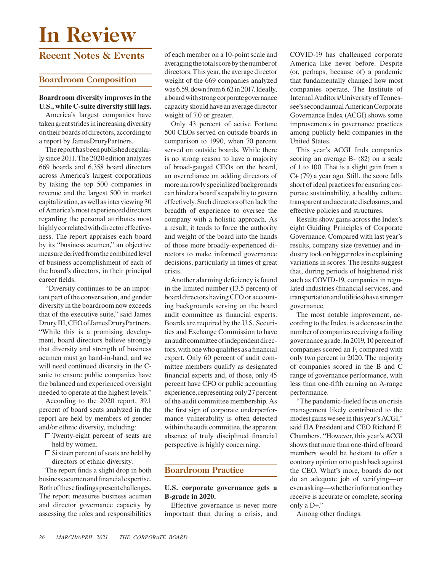# **In Review**

## **Recent Notes & Events**

## **Boardroom Composition**

#### **Boardroom diversity improves in the U.S., while C-suite diversity still lags.**

America's largest companies have taken great strides in increasing diversity on their boards of directors, according to a report by JamesDruryPartners.

The report has been published regularly since 2011. The 2020 edition analyzes 669 boards and 6,358 board directors across America's largest corporations by taking the top 500 companies in revenue and the largest 500 in market capitalization, as well as interviewing 30 of America's most experienced directors regarding the personal attributes most highly correlated with director effectiveness. The report appraises each board by its "business acumen," an objective measure derived from the combined level of business accomplishment of each of the board's directors, in their principal career fields.

"Diversity continues to be an important part of the conversation, and gender diversity in the boardroom now exceeds that of the executive suite," said James Drury III, CEO of JamesDruryPartners. "While this is a promising development, board directors believe strongly that diversity and strength of business acumen must go hand-in-hand, and we will need continued diversity in the Csuite to ensure public companies have the balanced and experienced oversight needed to operate at the highest levels."

According to the 2020 report, 39.1 percent of board seats analyzed in the report are held by members of gender and/or ethnic diversity, including:

- $\Box$  Twenty-eight percent of seats are held by women.
- $\square$  Sixteen percent of seats are held by directors of ethnic diversity.

The report finds a slight drop in both business acumen and financial expertise. Both of these findings present challenges. The report measures business acumen and director governance capacity by assessing the roles and responsibilities of each member on a 10-point scale and averaging the total score by the number of directors. This year, the average director weight of the 669 companies analyzed was 6.59, down from 6.62 in 2017. Ideally, a board with strong corporate governance capacity should have an average director weight of 7.0 or greater.

Only 43 percent of active Fortune 500 CEOs served on outside boards in comparison to 1990, when 70 percent served on outside boards. While there is no strong reason to have a majority of broad-gauged CEOs on the board, an overreliance on adding directors of more narrowly specialized backgrounds can hinder a board's capability to govern effectively. Such directors often lack the breadth of experience to oversee the company with a holistic approach. As a result, it tends to force the authority and weight of the board into the hands of those more broadly-experienced directors to make informed governance decisions, particularly in times of great crisis.

Another alarming deficiency is found in the limited number (13.5 percent) of board directors having CFO or accounting backgrounds serving on the board audit committee as financial experts. Boards are required by the U.S. Securities and Exchange Commission to have an audit committee of independent directors, with one who qualifies as a financial expert. Only 60 percent of audit committee members qualify as designated financial experts and, of those, only 45 percent have CFO or public accounting experience, representing only 27 percent of the audit committee membership. As the first sign of corporate underperformance vulnerability is often detected within the audit committee, the apparent absence of truly disciplined financial perspective is highly concerning.

## **Boardroom Practice**

#### **U.S. corporate governance gets a B-grade in 2020.**

Effective governance is never more important than during a crisis, and

COVID-19 has challenged corporate America like never before. Despite (or, perhaps, because of) a pandemic that fundamentally changed how most companies operate, The Institute of Internal Auditors/University of Tennessee's second annual American Corporate Governance Index (ACGI) shows some improvements in governance practices among publicly held companies in the United States.

This year's ACGI finds companies scoring an average B- (82) on a scale of 1 to 100. That is a slight gain from a C+ (79) a year ago. Still, the score falls short of ideal practices for ensuring corporate sustainability, a healthy culture, transparent and accurate disclosures, and effective policies and structures.

Results show gains across the Index's eight Guiding Principles of Corporate Governance. Compared with last year's results, company size (revenue) and industry took on bigger roles in explaining variations in scores. The results suggest that, during periods of heightened risk such as COVID-19, companies in regulated industries (financial services, and transportation and utilities) have stronger governance.

The most notable improvement, according to the Index, is a decrease in the number of companies receiving a failing governance grade. In 2019, 10 percent of companies scored an F, compared with only two percent in 2020. The majority of companies scored in the B and C range of governance performance, with less than one-fifth earning an A-range performance.

"The pandemic-fueled focus on crisis management likely contributed to the modest gains we see in this year's ACGI," said IIA President and CEO Richard F. Chambers. "However, this year's ACGI shows that more than one-third of board members would be hesitant to offer a contrary opinion or to push back against the CEO. What's more, boards do not do an adequate job of verifying—or even asking—whether information they receive is accurate or complete, scoring only a D+."

Among other findings: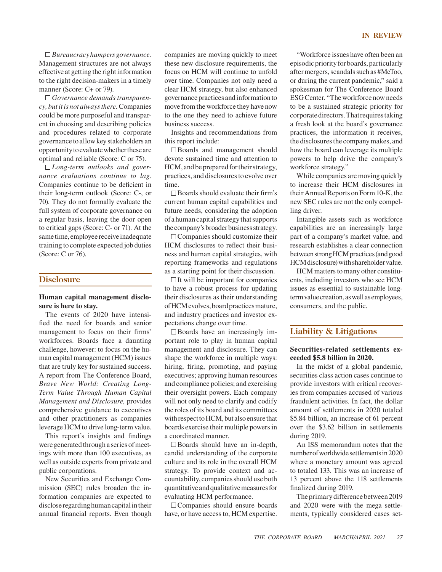*Governance demands transparency, but it is not always there.* Companies could be more purposeful and transparent in choosing and describing policies and procedures related to corporate governance to allow key stakeholders an opportunity to evaluate whether these are optimal and reliable (Score: C or 75).

*Long-term outlooks and governance evaluations continue to lag.*  Companies continue to be deficient in their long-term outlook (Score: C-, or 70). They do not formally evaluate the full system of corporate governance on a regular basis, leaving the door open to critical gaps (Score: C- or 71). At the same time, employee receive inadequate training to complete expected job duties (Score: C or 76).

#### **Disclosure**

#### **Human capital management disclosure is here to stay.**

The events of 2020 have intensified the need for boards and senior management to focus on their firms' workforces. Boards face a daunting challenge, however: to focus on the human capital management (HCM) issues that are truly key for sustained success. A report from The Conference Board, *Brave New World: Creating Long-Term Value Through Human Capital Management and Disclosure,* provides comprehensive guidance to executives and other practitioners as companies leverage HCM to drive long-term value.

This report's insights and findings were generated through a series of meetings with more than 100 executives, as well as outside experts from private and public corporations.

New Securities and Exchange Commission (SEC) rules broaden the information companies are expected to disclose regarding human capital in their annual financial reports. Even though

companies are moving quickly to meet these new disclosure requirements, the focus on HCM will continue to unfold over time. Companies not only need a clear HCM strategy, but also enhanced governance practices and information to move from the workforce they have now to the one they need to achieve future business success.

Insights and recommendations from this report include:

Boards and management should devote sustained time and attention to HCM, and be prepared for their strategy, practices, and disclosures to evolve over time.

 $\square$  Boards should evaluate their firm's current human capital capabilities and future needs, considering the adoption of a human capital strategy that supports the company's broader business strategy.

 $\Box$  Companies should customize their HCM disclosures to reflect their business and human capital strategies, with reporting frameworks and regulations as a starting point for their discussion.

 $\Box$  It will be important for companies to have a robust process for updating their disclosures as their understanding of HCM evolves, board practices mature, and industry practices and investor expectations change over time.

 $\square$  Boards have an increasingly important role to play in human capital management and disclosure. They can shape the workforce in multiple ways: hiring, firing, promoting, and paying executives; approving human resources and compliance policies; and exercising their oversight powers. Each company will not only need to clarify and codify the roles of its board and its committees with respect to HCM, but also ensure that boards exercise their multiple powers in a coordinated manner.

 $\square$  Boards should have an in-depth, candid understanding of the corporate culture and its role in the overall HCM strategy. To provide context and accountability, companies should use both quantitative and qualitative measures for evaluating HCM performance.

Companies should ensure boards have, or have access to, HCM expertise.

"Workforce issues have often been an episodic priority for boards, particularly

after mergers, scandals such as #MeToo, or during the current pandemic," said a spokesman for The Conference Board ESG Center. "The workforce now needs to be a sustained strategic priority for corporate directors. That requires taking a fresh look at the board's governance practices, the information it receives, the disclosures the company makes, and how the board can leverage its multiple powers to help drive the company's workforce strategy."

While companies are moving quickly to increase their HCM disclosures in their Annual Reports on Form 10-K, the new SEC rules are not the only compelling driver.

Intangible assets such as workforce capabilities are an increasingly large part of a company's market value, and research establishes a clear connection between strong HCM practices (and good HCM disclosure) with shareholder value.

HCM matters to many other constituents, including investors who see HCM issues as essential to sustainable longterm value creation, as well as employees, consumers, and the public.

#### **Liability & Litigations**

#### **Securities-related settlements exceeded \$5.8 billion in 2020.**

In the midst of a global pandemic, securities class action cases continue to provide investors with critical recoveries from companies accused of various fraudulent activities. In fact, the dollar amount of settlements in 2020 totaled \$5.84 billion, an increase of 61 percent over the \$3.62 billion in settlements during 2019.

An ISS memorandum notes that the number of worldwide settlements in 2020 where a monetary amount was agreed to totaled 133. This was an increase of 13 percent above the 118 settlements finalized during 2019.

The primary difference between 2019 and 2020 were with the mega settlements, typically considered cases set-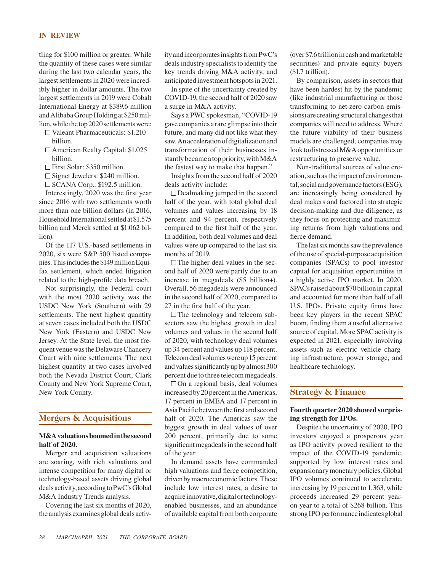#### **IN REVIEW**

tling for \$100 million or greater. While the quantity of these cases were similar during the last two calendar years, the largest settlements in 2020 were incredibly higher in dollar amounts. The two largest settlements in 2019 were Cobalt International Energy at \$389.6 million and Alibaba Group Holding at \$250 million, while the top 2020 settlements were:

Valeant Pharmaceuticals: \$1.210 billion.

- □ American Realty Capital: \$1.025 billion.
- First Solar: \$350 million.
- $\Box$  Signet Jewelers: \$240 million.
- $\square$  SCANA Corp.: \$192.5 million.

Interestingly, 2020 was the first year since 2016 with two settlements worth more than one billion dollars (in 2016, Household International settled at \$1.575 billion and Merck settled at \$1.062 billion).

Of the 117 U.S.-based settlements in 2020, six were S&P 500 listed companies. This includes the \$149 million Equifax settlement, which ended litigation related to the high-profile data breach.

Not surprisingly, the Federal court with the most 2020 activity was the USDC New York (Southern) with 29 settlements. The next highest quantity at seven cases included both the USDC New York (Eastern) and USDC New Jersey. At the State level, the most frequent venue was the Delaware Chancery Court with nine settlements. The next highest quantity at two cases involved both the Nevada District Court, Clark County and New York Supreme Court, New York County.

#### **Mergers & Acquisitions**

#### **M&A valuations boomed in the second half of 2020.**

Merger and acquisition valuations are soaring, with rich valuations and intense competition for many digital or technology-based assets driving global deals activity, according to PwC's Global M&A Industry Trends analysis.

Covering the last six months of 2020, the analysis examines global deals activity and incorporates insights from PwC's deals industry specialists to identify the key trends driving M&A activity, and anticipated investment hotspots in 2021.

In spite of the uncertainty created by COVID-19, the second half of 2020 saw a surge in M&A activity.

Says a PWC spokesman, "COVID-19 gave companies a rare glimpse into their future, and many did not like what they saw. An acceleration of digitalization and transformation of their businesses instantly became a top priority, with M&A the fastest way to make that happen."

Insights from the second half of 2020 deals activity include:

 $\Box$  Dealmaking jumped in the second half of the year, with total global deal volumes and values increasing by 18 percent and 94 percent, respectively compared to the first half of the year. In addition, both deal volumes and deal values were up compared to the last six months of 2019.

 $\Box$  The higher deal values in the second half of 2020 were partly due to an increase in megadeals (\$5 billion+). Overall, 56 megadeals were announced in the second half of 2020, compared to 27 in the first half of the year.

 $\Box$  The technology and telecom subsectors saw the highest growth in deal volumes and values in the second half of 2020, with technology deal volumes up 34 percent and values up 118 percent. Telecom deal volumes were up 15 percent and values significantly up by almost 300 percent due to three telecom megadeals.

 $\Box$  On a regional basis, deal volumes increased by 20 percent in the Americas, 17 percent in EMEA and 17 percent in Asia Pacific between the first and second half of 2020. The Americas saw the biggest growth in deal values of over 200 percent, primarily due to some significant megadeals in the second half of the year.

In demand assets have commanded high valuations and fierce competition, driven by macroeconomic factors. These include low interest rates, a desire to acquire innovative, digital or technologyenabled businesses, and an abundance of available capital from both corporate (over \$7.6 trillion in cash and marketable securities) and private equity buyers (\$1.7 trillion).

By comparison, assets in sectors that have been hardest hit by the pandemic (like industrial manufacturing or those transforming to net-zero carbon emissions) are creating structural changes that companies will need to address. Where the future viability of their business models are challenged, companies may look to distressed M&A opportunities or restructuring to preserve value.

Non-traditional sources of value creation, such as the impact of environmental, social and governance factors (ESG), are increasingly being considered by deal makers and factored into strategic decision-making and due diligence, as they focus on protecting and maximizing returns from high valuations and fierce demand.

The last six months saw the prevalence of the use of special-purpose acquisition companies (SPACs) to pool investor capital for acquisition opportunities in a highly active IPO market. In 2020, SPACs raised about \$70 billion in capital and accounted for more than half of all U.S. IPOs. Private equity firms have been key players in the recent SPAC boom, finding them a useful alternative source of capital. More SPAC activity is expected in 2021, especially involving assets such as electric vehicle charging infrastructure, power storage, and healthcare technology.

#### **Strategy & Finance**

#### **Fourth quarter 2020 showed surprising strength for IPOs.**

Despite the uncertainty of 2020, IPO investors enjoyed a prosperous year as IPO activity proved resilient to the impact of the COVID-19 pandemic, supported by low interest rates and expansionary monetary policies. Global IPO volumes continued to accelerate, increasing by 19 percent to 1,363, while proceeds increased 29 percent yearon-year to a total of \$268 billion. This strong IPO performance indicates global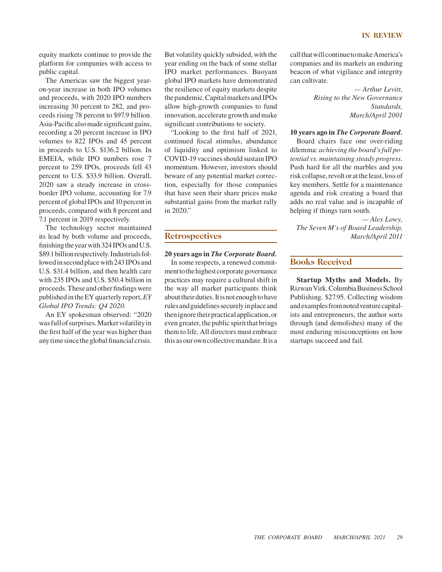#### **IN REVIEW**

equity markets continue to provide the platform for companies with access to public capital.

The Americas saw the biggest yearon-year increase in both IPO volumes and proceeds, with 2020 IPO numbers increasing 30 percent to 282, and proceeds rising 78 percent to \$97.9 billion. Asia-Pacific also made significant gains, recording a 20 percent increase in IPO volumes to 822 IPOs and 45 percent in proceeds to U.S. \$136.2 billion. In EMEIA, while IPO numbers rose 7 percent to 259 IPOs, proceeds fell 43 percent to U.S. \$33.9 billion. Overall, 2020 saw a steady increase in crossborder IPO volume, accounting for 7.9 percent of global IPOs and 10 percent in proceeds, compared with 8 percent and 7.1 percent in 2019 respectively.

The technology sector maintained its lead by both volume and proceeds, finishing the year with 324 IPOs and U.S. \$89.1 billion respectively. Industrials followed in second place with 243 IPOs and U.S. \$31.4 billion, and then health care with 235 IPOs and U.S. \$50.4 billion in proceeds. These and other findings were published in the EY quarterly report, *EY Global IPO Trends: Q4 2020.*

An EY spokesman observed: "2020 was full of surprises. Market volatility in the first half of the year was higher than any time since the global financial crisis. But volatility quickly subsided, with the year ending on the back of some stellar IPO market performances. Buoyant global IPO markets have demonstrated the resilience of equity markets despite the pandemic. Capital markets and IPOs allow high-growth companies to fund innovation, accelerate growth and make significant contributions to society.

"Looking to the first half of 2021, continued fiscal stimulus, abundance of liquidity and optimism linked to COVID-19 vaccines should sustain IPO momentum. However, investors should beware of any potential market correction, especially for those companies that have seen their share prices make substantial gains from the market rally in 2020."

#### **Retrospectives**

#### **20 years ago in** *The Corporate Board.*

In some respects, a renewed commitment to the highest corporate governance practices may require a cultural shift in the way all market participants think about their duties. It is not enough to have rules and guidelines securely in place and then ignore their practical application, or even greater, the public spirit that brings them to life. All directors must embrace this as our own collective mandate. It is a call that will continue to make America's companies and its markets an enduring beacon of what vigilance and integrity can cultivate.

> *— Arthur Levitt, Rising to the New Governance Standards, March/April 2001*

#### **10 years ago in** *The Corporate Board.*

Board chairs face one over-riding dilemma: *achieving the board's full potential vs. maintaining steady progress.*  Push hard for all the marbles and you risk collapse, revolt or at the least, loss of key members. Settle for a maintenance agenda and risk creating a board that adds no real value and is incapable of helping if things turn south.

*— Alex Lowy, The Seven M's of Board Leadership, March/April 2011*

#### **Books Received**

**Startup Myths and Models.** By Rizwan Virk. Columbia Business School Publishing. \$27.95. Collecting wisdom and examples from noted venture capitalists and entrepreneurs, the author sorts through (and demolishes) many of the most enduring misconceptions on how startups succeed and fail.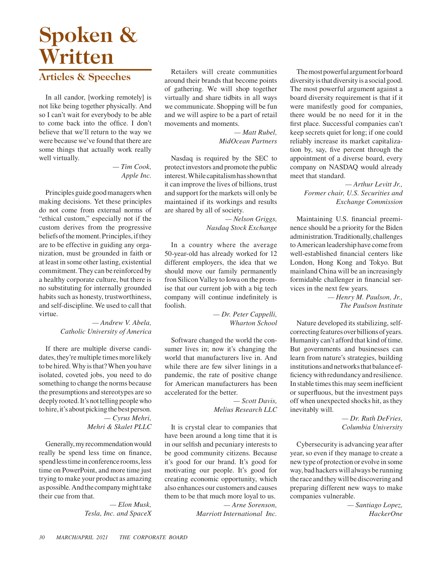## **Spoken & Written**

## **Articles & Speeches**

In all candor, [working remotely] is not like being together physically. And so I can't wait for everybody to be able to come back into the office. I don't believe that we'll return to the way we were because we've found that there are some things that actually work really well virtually.

#### *— Tim Cook, Apple Inc.*

Principles guide good managers when making decisions. Yet these principles do not come from external norms of "ethical custom," especially not if the custom derives from the progressive beliefs of the moment. Principles, if they are to be effective in guiding any organization, must be grounded in faith or at least in some other lasting, existential commitment. They can be reinforced by a healthy corporate culture, but there is no substituting for internally grounded habits such as honesty, trustworthiness, and self-discipline. We used to call that virtue.

#### *— Andrew V. Abela, Catholic University of America*

If there are multiple diverse candidates, they're multiple times more likely to be hired. Why is that? When you have isolated, coveted jobs, you need to do something to change the norms because the presumptions and stereotypes are so deeply rooted. It's not telling people who to hire, it's about picking the best person. *— Cyrus Mehri, Mehri & Skalet PLLC*

Generally, my recommendation would really be spend less time on finance, spend less time in conference rooms, less time on PowerPoint, and more time just trying to make your product as amazing as possible. And the company might take their cue from that.

> *— Elon Musk, Tesla, Inc. and SpaceX*

Retailers will create communities around their brands that become points of gathering. We will shop together virtually and share tidbits in all ways we communicate. Shopping will be fun and we will aspire to be a part of retail movements and moments.

> *— Matt Rubel, MidOcean Partners*

Nasdaq is required by the SEC to protect investors and promote the public interest. While capitalism has shown that it can improve the lives of billions, trust and support for the markets will only be maintained if its workings and results are shared by all of society.

> *— Nelson Griggs, Nasdaq Stock Exchange*

In a country where the average 50-year-old has already worked for 12 different employers, the idea that we should move our family permanently fron Silicon Valley to Iowa on the promise that our current job with a big tech company will continue indefinitely is foolish.

> *— Dr. Peter Cappelli, Wharton School*

Software changed the world the consumer lives in; now it's changing the world that manufacturers live in. And while there are few silver linings in a pandemic, the rate of positive change for American manufacturers has been accelerated for the better.

> *— Scott Davis, Melius Research LLC*

It is crystal clear to companies that have been around a long time that it is in our selfish and pecuniary interests to be good community citizens. Because it's good for our brand. It's good for motivating our people. It's good for creating economic opportunity, which also enhances our customers and causes them to be that much more loyal to us.

> *— Arne Sorenson, Marriott International Inc.*

The most powerful argument for board diversity is that diversity is a social good. The most powerful argument against a board diversity requirement is that if it were manifestly good for companies, there would be no need for it in the first place. Successful companies can't keep secrets quiet for long; if one could reliably increase its market capitalization by, say, five percent through the appointment of a diverse board, every company on NASDAQ would already meet that standard.

> *— Arthur Levitt Jr., Former chair, U.S. Securities and Exchange Commission*

Maintaining U.S. financial preeminence should be a priority for the Biden administration. Traditionally, challenges to American leadership have come from well-established financial centers like London, Hong Kong and Tokyo. But mainland China will be an increasingly formidable challenger in financial services in the next few years.

> *— Henry M. Paulson, Jr., The Paulson Institute*

Nature developed its stabilizing, selfcorrecting features over billions of years. Humanity can't afford that kind of time. But governments and businesses can learn from nature's strategies, building institutions and networks that balance efficiency with redundancy and resilience. In stable times this may seem inefficient or superfluous, but the investment pays off when unexpected shocks hit, as they inevitably will.

> *— Dr. Ruth DeFries, Columbia University*

Cybersecurity is advancing year after year, so even if they manage to create a new type of protection or evolve in some way, bad hackers will always be running the race and they will be discovering and preparing different new ways to make companies vulnerable.

> *— Santiago Lopez, HackerOne*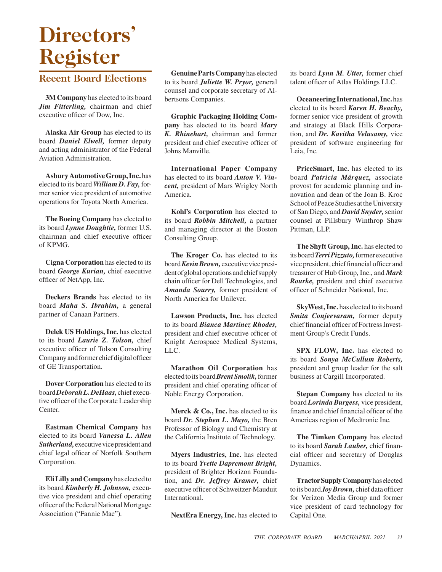# **Directors' Register**

## **Recent Board Elections**

**3M Company** has elected to its board *Jim Fitterling,* chairman and chief executive officer of Dow, Inc.

**Alaska Air Group** has elected to its board *Daniel Elwell,* former deputy and acting administrator of the Federal Aviation Administration.

**Asbury Automotive Group, Inc.** has elected to its board *William D. Fay,* former senior vice president of automotive operations for Toyota North America.

**The Boeing Company** has elected to its board *Lynne Doughtie,* former U.S. chairman and chief executive officer of KPMG.

**Cigna Corporation** has elected to its board *George Kurian,* chief executive officer of NetApp, Inc.

**Deckers Brands** has elected to its board *Maha S. Ibrahim,* a general partner of Canaan Partners.

**Delek US Holdings, Inc.** has elected to its board *Laurie Z. Tolson,* chief executive officer of Tolson Consulting Company and former chief digital officer of GE Transportation.

**Dover Corporation** has elected to its board *Deborah L. DeHaas,* chief executive officer of the Corporate Leadership Center.

**Eastman Chemical Company** has elected to its board *Vanessa L. Allen Sutherland,* executive vice president and chief legal officer of Norfolk Southern Corporation.

**Eli Lilly and Company** has elected to its board *Kimberly H. Johnson,* executive vice president and chief operating officer of the Federal National Mortgage Association ("Fannie Mae").

**Genuine Parts Company** has elected to its board *Juliette W. Pryor,* general counsel and corporate secretary of Albertsons Companies.

**Graphic Packaging Holding Company** has elected to its board *Mary K. Rhinehart,* chairman and former president and chief executive officer of Johns Manville.

**International Paper Company** has elected to its board *Anton V. Vincent,* president of Mars Wrigley North America.

**Kohl's Corporation** has elected to its board *Robbin Mitchell,* a partner and managing director at the Boston Consulting Group.

**The Kroger Co.** has elected to its board *Kevin Brown,* executive vice president of global operations and chief supply chain officer for Dell Technologies, and *Amanda Sourry,* former president of North America for Unilever.

**Lawson Products, Inc.** has elected to its board *Bianca Martinez Rhodes,* president and chief executive officer of Knight Aerospace Medical Systems, LLC.

**Marathon Oil Corporation** has elected to its board *Brent Smolik,* former president and chief operating officer of Noble Energy Corporation.

**Merck & Co., Inc.** has elected to its board *Dr. Stephen L. Mayo,* the Bren Professor of Biology and Chemistry at the California Institute of Technology.

**Myers Industries, Inc.** has elected to its board *Yvette Dapremont Bright,* president of Brighter Horizon Foundation, and *Dr. Jeffrey Kramer,* chief executive officer of Schweitzer-Mauduit International.

**NextEra Energy, Inc.** has elected to

its board *Lynn M. Utter,* former chief talent officer of Atlas Holdings LLC.

**Oceaneering International, Inc.** has elected to its board *Karen H. Beachy,* former senior vice president of growth and strategy at Black Hills Corporation, and *Dr. Kavitha Velusamy,* vice president of software engineering for Leia, Inc.

**PriceSmart, Inc.** has elected to its board *Patricia Márquez,* associate provost for academic planning and innovation and dean of the Joan B. Kroc School of Peace Studies at the University of San Diego, and *David Snyder,* senior counsel at Pillsbury Winthrop Shaw Pittman, LLP.

**The Shyft Group, Inc.** has elected to its board *Terri Pizzuto,* former executive vice president, chief financial officer and treasurer of Hub Group, Inc., and *Mark Rourke,* president and chief executive officer of Schneider National, Inc.

**SkyWest, Inc.** has elected to its board *Smita Conjeevaram,* former deputy chief financial officer of Fortress Investment Group's Credit Funds.

**SPX FLOW, Inc.** has elected to its board *Sonya McCullum Roberts,* president and group leader for the salt business at Cargill Incorporated.

**Stepan Company** has elected to its board *Lorinda Burgess,* vice president, finance and chief financial officer of the Americas region of Medtronic Inc.

**The Timken Company** has elected to its board *Sarah Lauber,* chief financial officer and secretary of Douglas Dynamics.

**Tractor Supply Company** has elected to its board *Joy Brown,* chief data officer for Verizon Media Group and former vice president of card technology for Capital One.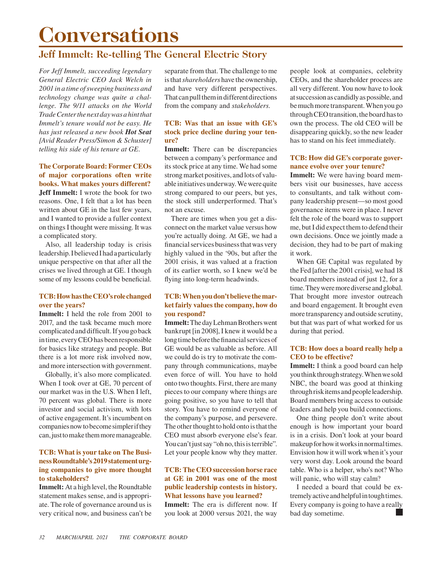## **Conversations**

## **Jeff Immelt: Re-telling The General Electric Story**

*For Jeff Immelt, succeeding legendary General Electric CEO Jack Welch in 2001 in a time of sweeping business and technology change was quite a challenge. The 9/11 attacks on the World Trade Center the next day was a hint that Immelt's tenure would not be easy. He has just released a new book Hot Seat [Avid Reader Press/Simon & Schuster] telling his side of his tenure at GE.*

#### **The Corporate Board: Former CEOs of major corporations often write books. What makes yours different?**

**Jeff Immelt:** I wrote the book for two reasons. One, I felt that a lot has been written about GE in the last few years, and I wanted to provide a fuller context on things I thought were missing. It was a complicated story.

Also, all leadership today is crisis leadership. I believed I had a particularly unique perspective on that after all the crises we lived through at GE. I though some of my lessons could be beneficial.

#### **TCB: How has the CEO's role changed over the years?**

**Immelt:** I held the role from 2001 to 2017, and the task became much more complicated and difficult. If you go back in time, every CEO has been responsible for basics like strategy and people. But there is a lot more risk involved now, and more intersection with government.

Globally, it's also more complicated. When I took over at GE, 70 percent of our market was in the U.S. When I left, 70 percent was global. There is more investor and social activism, with lots of active engagement. It's incumbent on companies now to become simpler if they can, just to make them more manageable.

#### **TCB: What is your take on The Business Roundtable's 2019 statement urging companies to give more thought to stakeholders?**

**Immelt:** At a high level, the Roundtable statement makes sense, and is appropriate. The role of governance around us is very critical now, and business can't be

separate from that. The challenge to me is that *shareholders* have the ownership, and have very different perspectives. That can pull them in different directions from the company and *stakeholders*.

#### **TCB: Was that an issue with GE's stock price decline during your tenure?**

**Immelt:** There can be discrepancies between a company's performance and its stock price at any time. We had some strong market positives, and lots of valuable initiatives underway. We were quite strong compared to our peers, but yes, the stock still underperformed. That's not an excuse.

There are times when you get a disconnect on the market value versus how you're actually doing. At GE, we had a financial services business that was very highly valued in the '90s, but after the 2001 crisis, it was valued at a fraction of its earlier worth, so I knew we'd be flying into long-term headwinds.

#### **TCB: When you don't believe the market fairly values the company, how do you respond?**

**Immelt:** The day Lehman Brothers went bankrupt [in 2008], I knew it would be a long time before the financial services of GE would be as valuable as before. All we could do is try to motivate the company through communications, maybe even force of will. You have to hold onto two thoughts. First, there are many pieces to our company where things are going positive, so you have to tell that story. You have to remind everyone of the company's purpose, and persevere. The other thought to hold onto is that the CEO must absorb everyone else's fear. You can't just say "oh no, this is terrible". Let your people know why they matter.

#### **TCB: The CEO succession horse race at GE in 2001 was one of the most public leadership contests in history. What lessons have you learned?**

**Immelt:** The era is different now. If you look at 2000 versus 2021, the way people look at companies, celebrity CEOs, and the shareholder process are all very different. You now have to look at succession as candidly as possible, and be much more transparent. When you go through CEO transition, the board has to own the process. The old CEO will be disappearing quickly, so the new leader has to stand on his feet immediately.

#### **TCB: How did GE's corporate governance evolve over your tenure?**

**Immelt:** We were having board members visit our businesses, have access to consultants, and talk without company leadership present—so most good governance items were in place. I never felt the role of the board was to support me, but I did expect them to defend their own decisions. Once we jointly made a decision, they had to be part of making it work.

When GE Capital was regulated by the Fed [after the 2001 crisis], we had 18 board members instead of just 12, for a time. They were more diverse and global. That brought more investor outreach and board engagement. It brought even more transparency and outside scrutiny, but that was part of what worked for us during that period.

#### **TCB: How does a board really help a CEO to be effective?**

**Immelt:** I think a good board can help you think through strategy. When we sold NBC, the board was good at thinking through risk items and people leadership. Board members bring access to outside leaders and help you build connections.

One thing people don't write about enough is how important your board is in a crisis. Don't look at your board makeup for how it works in normal times. Envision how it will work when it's your very worst day. Look around the board table. Who is a helper, who's not? Who will panic, who will stay calm?

I needed a board that could be extremely active and helpful in tough times. Every company is going to have a really bad day sometime.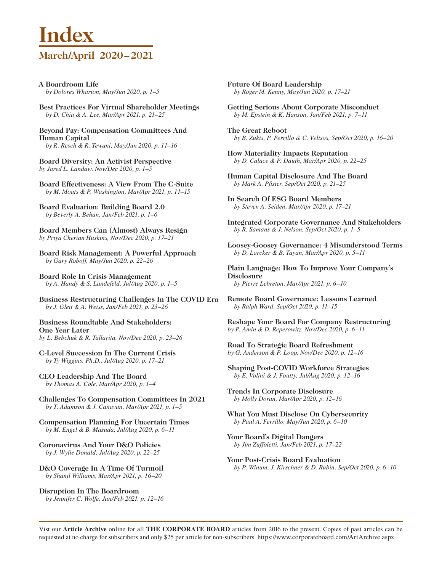## **Index March/April 2020–2021**

- **A Boardroom Life** *by Dolores Wharton, May/Jun 2020, p. 1–5*
- **Best Practices For Virtual Shareholder Meetings** *by D. Chia & A. Lee, Mar/Apr 2021, p. 21–25*

#### **Beyond Pay: Compensation Committees And Human Capital** *by R. Resch & R. Tewani, May/Jun 2020, p. 11–16*

**Board Diversity: An Activist Perspective**

*by Jared L. Landaw, Nov/Dec 2020, p. 1–5* 

**Board Effectiveness: A View From The C-Suite** *by M. Moats & P. Washington, Mar/Apr 2021, p. 11–15*

**Board Evaluation: Building Board 2.0** *by Beverly A. Behan, Jan/Feb 2021, p. 1–6*

**Board Members Can (Almost) Always Resign** *by Priya Cherian Huskins, Nov/Dec 2020, p. 17–21* 

**Board Risk Management: A Powerful Approach** *by Gary Roboff, May/Jun 2020, p. 22–26*

**Board Role In Crisis Management** *by A. Handy & S. Landefeld, Jul/Aug 2020, p. 1–5*

**Business Restructuring Challenges In The COVID Era** *by J. Gleit & A. Weiss, Jan/Feb 2021, p. 23–26*

**Business Roundtable And Stakeholders: One Year Later** *by L. Bebchuk & R. Tallarita, Nov/Dec 2020, p. 23–26* 

**C-Level Succession In The Current Crisis** *by Ty Wiggins, Ph.D., Jul/Aug 2020, p. 17–21*

**CEO Leadership And The Board** *by Thomas A. Cole, Mar/Apr 2020, p. 1–4*

**Challenges To Compensation Committees In 2021** *by T. Adamson & J. Canavan, Mar/Apr 2021, p. 1–5*

**Compensation Planning For Uncertain Times** *by M. Engel & B. Masuda, Jul/Aug 2020, p. 6–11*

**Coronavirus And Your D&O Policies** *by J. Wylie Donald, Jul/Aug 2020, p. 22–25*

**D&O Coverage In A Time Of Turmoil** *by Shanil Williams, Mar/Apr 2021, p. 16–20*

**Disruption In The Boardroom** *by Jennifer C. Wolfe, Jan/Feb 2021, p. 12–16* **Future Of Board Leadership** *by Roger M. Kenny, May/Jun 2020, p. 17–21*

**Getting Serious About Corporate Misconduct** *by M. Epstein & K. Hanson, Jan/Feb 2021, p. 7–11*

**The Great Reboot** *by B. Zukis, P. Ferrillo & C. Veltsos, Sep/Oct 2020, p. 16–20*

**How Materiality Impacts Reputation** *by D. Calace & F. Dauth, Mar/Apr 2020, p. 22–25*

**Human Capital Disclosure And The Board** *by Mark A. Pfister, Sep/Oct 2020, p. 21–25*

**In Search Of ESG Board Members** *by Steven A. Seiden, Mar/Apr 2020, p. 17–21*

**Integrated Corporate Governance And Stakeholders** *by R. Samans & J. Nelson, Sep/Oct 2020, p. 1–5*

**Loosey-Goosey Governance: 4 Misunderstood Terms** *by D. Larcker & B. Tayan, Mar/Apr 2020, p. 5–11*

**Plain Language: How To Improve Your Company's Disclosure** *by Pierre Lebreton, Mar/Apr 2021, p. 6–10*

**Remote Board Governance: Lessons Learned** *by Ralph Ward, Sep/Oct 2020, p. 11–15*

**Reshape Your Board For Company Restructuring** *by P. Amin & D. Reperowitz, Nov/Dec 2020, p. 6–11* 

**Road To Strategic Board Refreshment** *by G. Anderson & P. Loop, Nov/Dec 2020, p. 12–16* 

**Shaping Post-COVID Workforce Strategies** *by E. Volini & J. Foutty, Jul/Aug 2020, p. 12–16*

**Trends In Corporate Disclosure** *by Molly Doran, Mar/Apr 2020, p. 12–16*

**What You Must Disclose On Cybersecurity** *by Paul A. Ferrillo, May/Jun 2020, p. 6–10*

**Your Board's Digital Dangers** *by Jim Zuffoletti, Jan/Feb 2021, p. 17–22*

**Your Post-Crisis Board Evaluation** *by P. Winum, J. Kirschner & D. Rubin, Sep/Oct 2020, p. 6–10*

Vist our **Article Archive** online for all **THE CORPORATE BOARD** articles from 2016 to the present. Copies of past articles can be requested at no charge for subscribers and only \$25 per article for non-subscribers. https://www.corporateboard.com/ArtArchive.aspx